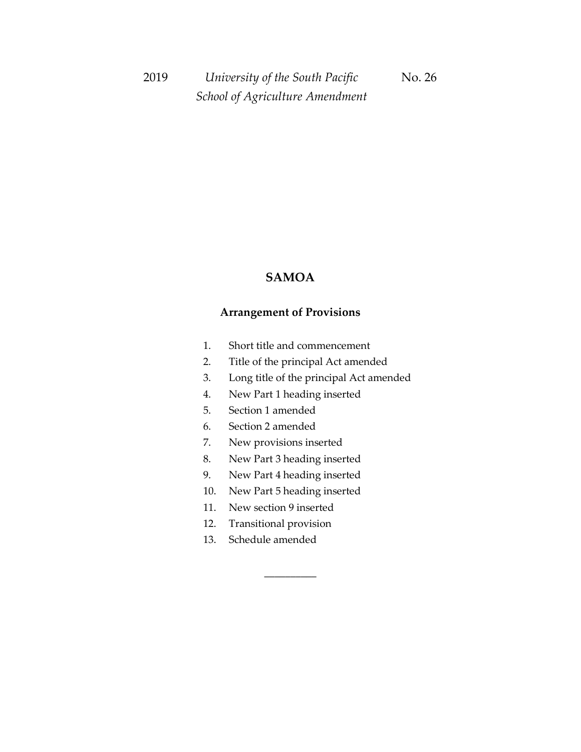### **SAMOA**

### **Arrangement of Provisions**

- 1. Short title and commencement
- 2. Title of the principal Act amended
- 3. Long title of the principal Act amended
- 4. New Part 1 heading inserted
- 5. Section 1 amended
- 6. Section 2 amended
- 7. New provisions inserted
- 8. New Part 3 heading inserted
- 9. New Part 4 heading inserted
- 10. New Part 5 heading inserted

\_\_\_\_\_\_\_\_\_\_

- 11. New section 9 inserted
- 12. Transitional provision
- 13. Schedule amended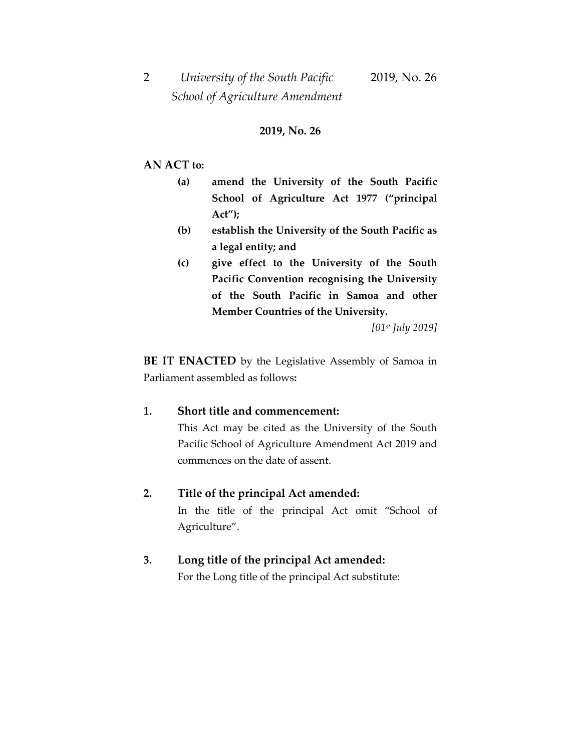#### **2019, No. 26**

#### **AN ACT to:**

- **(a) amend the University of the South Pacific School of Agriculture Act 1977 ("principal Act");**
- **(b) establish the University of the South Pacific as a legal entity; and**
- **(c) give effect to the University of the South Pacific Convention recognising the University of the South Pacific in Samoa and other Member Countries of the University.**

*[01st July 2019]*

**BE IT ENACTED** by the Legislative Assembly of Samoa in Parliament assembled as follows**:**

#### **1. Short title and commencement:**

This Act may be cited as the University of the South Pacific School of Agriculture Amendment Act 2019 and commences on the date of assent.

#### **2. Title of the principal Act amended:**

In the title of the principal Act omit "School of Agriculture".

#### **3. Long title of the principal Act amended:**

For the Long title of the principal Act substitute: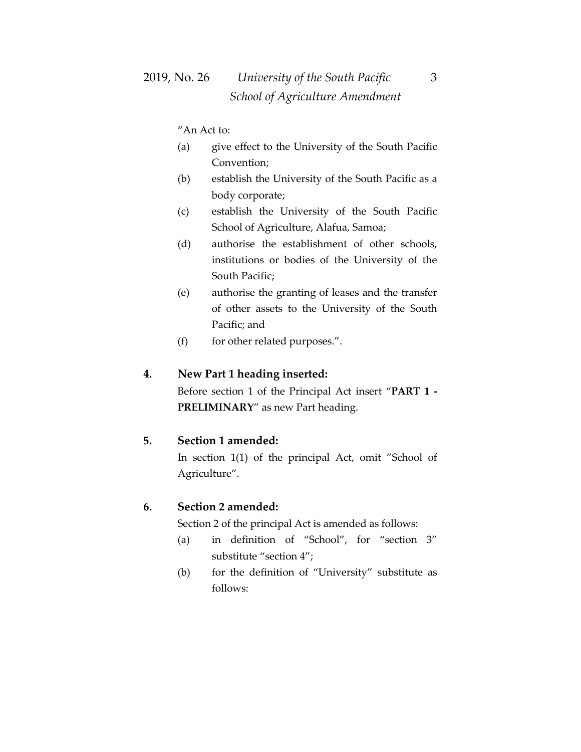"An Act to:

- (a) give effect to the University of the South Pacific Convention;
- (b) establish the University of the South Pacific as a body corporate;
- (c) establish the University of the South Pacific School of Agriculture, Alafua, Samoa;
- (d) authorise the establishment of other schools, institutions or bodies of the University of the South Pacific;
- (e) authorise the granting of leases and the transfer of other assets to the University of the South Pacific; and
- (f) for other related purposes.".

#### **4. New Part 1 heading inserted:**

Before section 1 of the Principal Act insert "**PART 1 - PRELIMINARY**" as new Part heading.

#### **5. Section 1 amended:**

In section 1(1) of the principal Act, omit "School of Agriculture".

#### **6. Section 2 amended:**

Section 2 of the principal Act is amended as follows:

- (a) in definition of "School", for "section 3" substitute "section 4";
- (b) for the definition of "University" substitute as follows: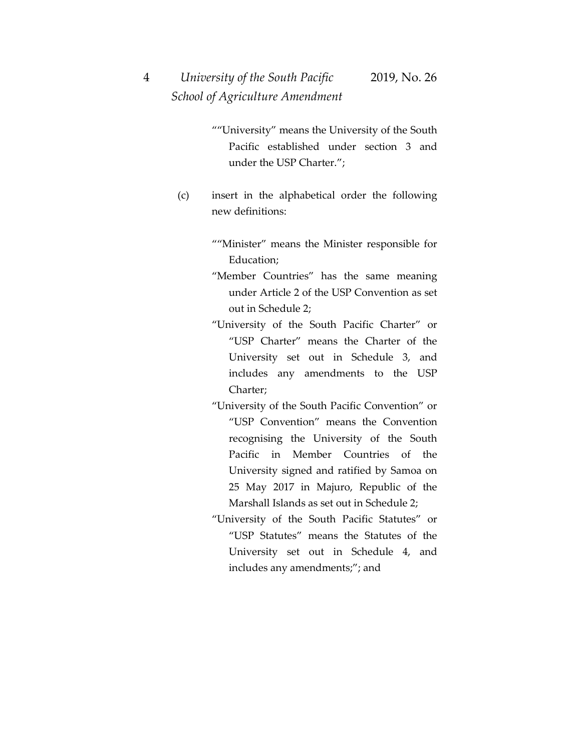- ""University" means the University of the South Pacific established under section 3 and under the USP Charter.";
- (c) insert in the alphabetical order the following new definitions:
	- ""Minister" means the Minister responsible for Education;
	- "Member Countries" has the same meaning under Article 2 of the USP Convention as set out in Schedule 2;
	- "University of the South Pacific Charter" or "USP Charter" means the Charter of the University set out in Schedule 3, and includes any amendments to the USP Charter;
	- "University of the South Pacific Convention" or "USP Convention" means the Convention recognising the University of the South Pacific in Member Countries of the University signed and ratified by Samoa on 25 May 2017 in Majuro, Republic of the Marshall Islands as set out in Schedule 2;
	- "University of the South Pacific Statutes" or "USP Statutes" means the Statutes of the University set out in Schedule 4, and includes any amendments;"; and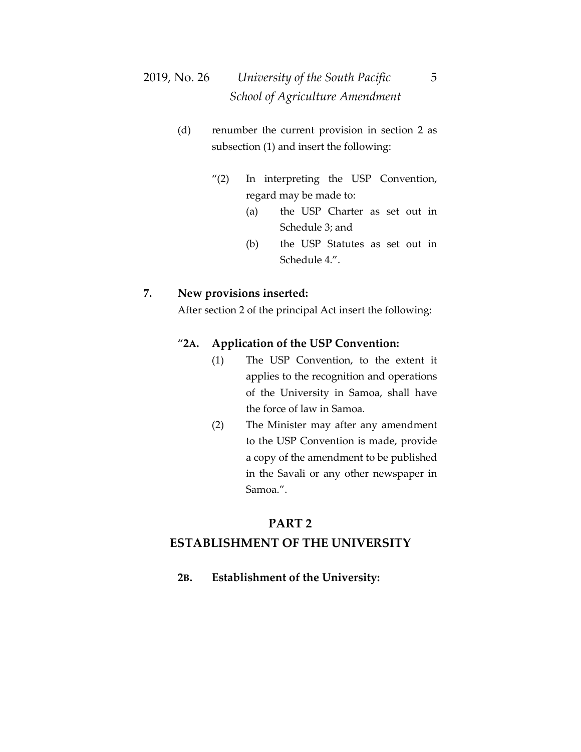# 2019, No. 26 *University of the South Pacific* 5  *School of Agriculture Amendment*

- (d) renumber the current provision in section 2 as subsection (1) and insert the following:
	- "(2) In interpreting the USP Convention, regard may be made to:
		- (a) the USP Charter as set out in Schedule 3; and
		- (b) the USP Statutes as set out in Schedule 4.".

#### **7. New provisions inserted:**

After section 2 of the principal Act insert the following:

#### "**2A. Application of the USP Convention:**

- (1) The USP Convention, to the extent it applies to the recognition and operations of the University in Samoa, shall have the force of law in Samoa.
- (2) The Minister may after any amendment to the USP Convention is made, provide a copy of the amendment to be published in the Savali or any other newspaper in Samoa.".

#### **PART 2**

#### **ESTABLISHMENT OF THE UNIVERSITY**

**2B. Establishment of the University:**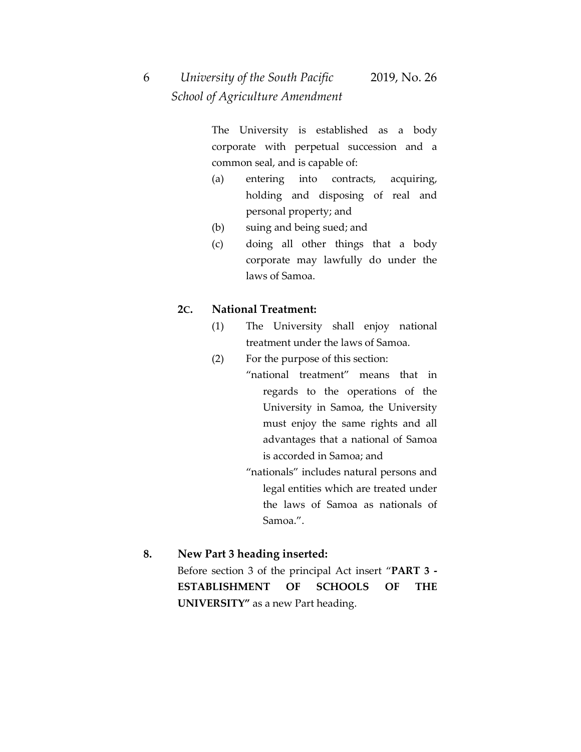# 6 *University of the South Pacific* 2019, No. 26  *School of Agriculture Amendment*

The University is established as a body corporate with perpetual succession and a common seal, and is capable of:

- (a) entering into contracts, acquiring, holding and disposing of real and personal property; and
- (b) suing and being sued; and
- (c) doing all other things that a body corporate may lawfully do under the laws of Samoa.

#### **2C. National Treatment:**

- (1) The University shall enjoy national treatment under the laws of Samoa.
- (2) For the purpose of this section:
	- "national treatment" means that in regards to the operations of the University in Samoa, the University must enjoy the same rights and all advantages that a national of Samoa is accorded in Samoa; and
		- "nationals" includes natural persons and legal entities which are treated under the laws of Samoa as nationals of Samoa.".

#### **8. New Part 3 heading inserted:**

Before section 3 of the principal Act insert "**PART 3 - ESTABLISHMENT OF SCHOOLS OF THE UNIVERSITY"** as a new Part heading.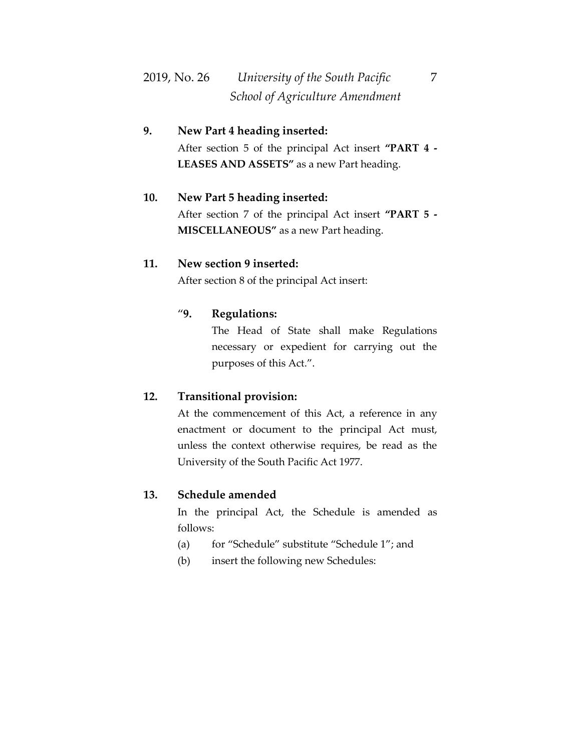# 2019, No. 26 *University of the South Pacific* 7  *School of Agriculture Amendment*

### **9. New Part 4 heading inserted:**

After section 5 of the principal Act insert **"PART 4 - LEASES AND ASSETS"** as a new Part heading.

#### **10. New Part 5 heading inserted:**

After section 7 of the principal Act insert **"PART 5 - MISCELLANEOUS"** as a new Part heading.

#### **11. New section 9 inserted:**

After section 8 of the principal Act insert:

#### "**9. Regulations:**

The Head of State shall make Regulations necessary or expedient for carrying out the purposes of this Act.".

#### **12. Transitional provision:**

At the commencement of this Act, a reference in any enactment or document to the principal Act must, unless the context otherwise requires, be read as the University of the South Pacific Act 1977.

#### **13. Schedule amended**

In the principal Act, the Schedule is amended as follows:

- (a) for "Schedule" substitute "Schedule 1"; and
- (b) insert the following new Schedules: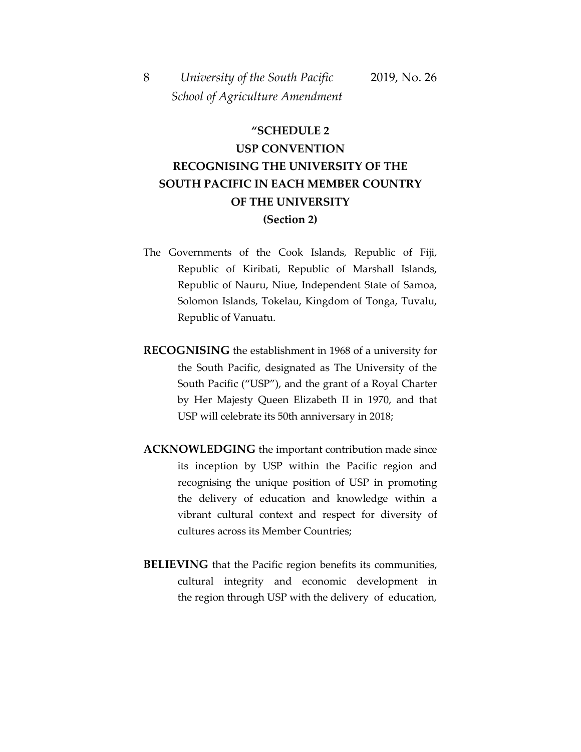## **"SCHEDULE 2**

## **USP CONVENTION RECOGNISING THE UNIVERSITY OF THE SOUTH PACIFIC IN EACH MEMBER COUNTRY OF THE UNIVERSITY (Section 2)**

- The Governments of the Cook Islands, Republic of Fiji, Republic of Kiribati, Republic of Marshall Islands, Republic of Nauru, Niue, Independent State of Samoa, Solomon Islands, Tokelau, Kingdom of Tonga, Tuvalu, Republic of Vanuatu.
- **RECOGNISING** the establishment in 1968 of a university for the South Pacific, designated as The University of the South Pacific ("USP"), and the grant of a Royal Charter by Her Majesty Queen Elizabeth II in 1970, and that USP will celebrate its 50th anniversary in 2018;
- **ACKNOWLEDGING** the important contribution made since its inception by USP within the Pacific region and recognising the unique position of USP in promoting the delivery of education and knowledge within a vibrant cultural context and respect for diversity of cultures across its Member Countries;
- **BELIEVING** that the Pacific region benefits its communities, cultural integrity and economic development in the region through USP with the delivery of education,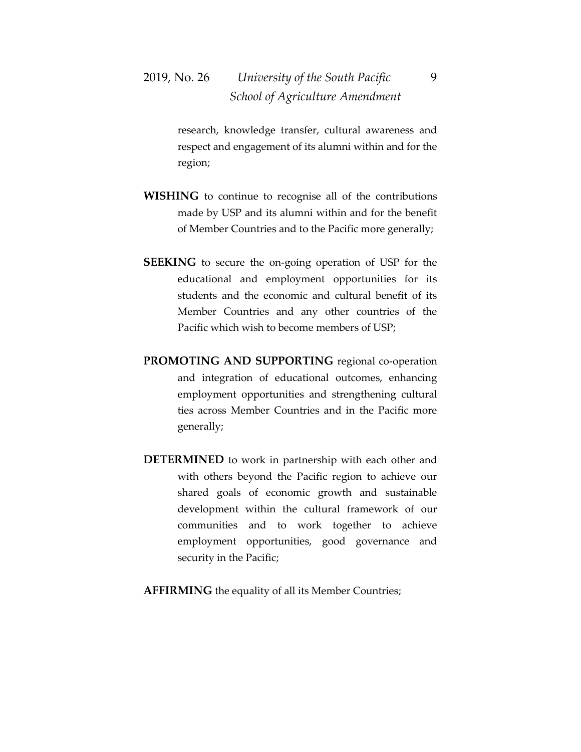# 2019, No. 26 *University of the South Pacific* 9  *School of Agriculture Amendment*

research, knowledge transfer, cultural awareness and respect and engagement of its alumni within and for the region;

- **WISHING** to continue to recognise all of the contributions made by USP and its alumni within and for the benefit of Member Countries and to the Pacific more generally;
- **SEEKING** to secure the on-going operation of USP for the educational and employment opportunities for its students and the economic and cultural benefit of its Member Countries and any other countries of the Pacific which wish to become members of USP;
- **PROMOTING AND SUPPORTING** regional co-operation and integration of educational outcomes, enhancing employment opportunities and strengthening cultural ties across Member Countries and in the Pacific more generally;
- **DETERMINED** to work in partnership with each other and with others beyond the Pacific region to achieve our shared goals of economic growth and sustainable development within the cultural framework of our communities and to work together to achieve employment opportunities, good governance and security in the Pacific;
- **AFFIRMING** the equality of all its Member Countries;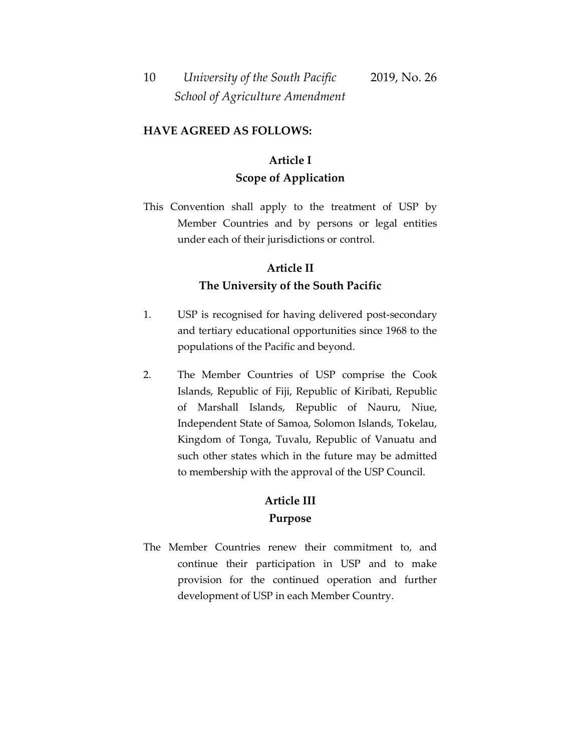#### **HAVE AGREED AS FOLLOWS:**

### **Article I Scope of Application**

This Convention shall apply to the treatment of USP by Member Countries and by persons or legal entities under each of their jurisdictions or control.

### **Article II The University of the South Pacific**

- 1. USP is recognised for having delivered post-secondary and tertiary educational opportunities since 1968 to the populations of the Pacific and beyond.
- 2. The Member Countries of USP comprise the Cook Islands, Republic of Fiji, Republic of Kiribati, Republic of Marshall Islands, Republic of Nauru, Niue, Independent State of Samoa, Solomon Islands, Tokelau, Kingdom of Tonga, Tuvalu, Republic of Vanuatu and such other states which in the future may be admitted to membership with the approval of the USP Council.

### **Article III Purpose**

The Member Countries renew their commitment to, and continue their participation in USP and to make provision for the continued operation and further development of USP in each Member Country.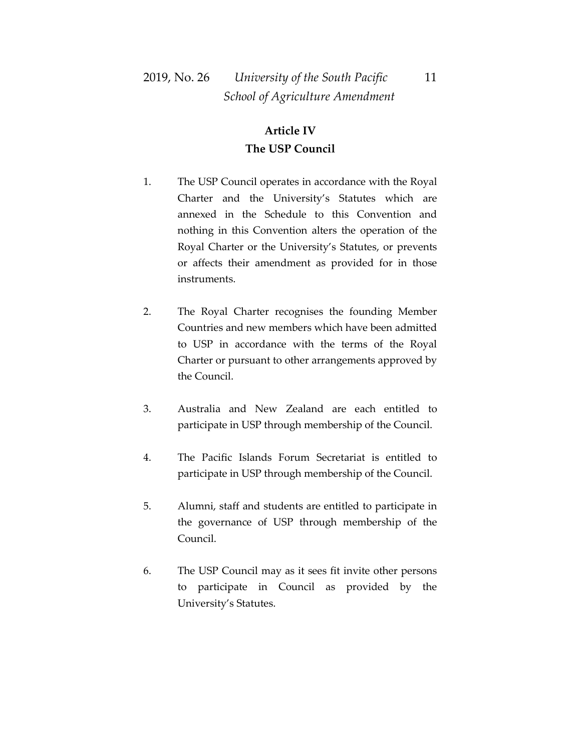## 2019, No. 26 *University of the South Pacific* 11  *School of Agriculture Amendment*

### **Article IV The USP Council**

- 1. The USP Council operates in accordance with the Royal Charter and the University's Statutes which are annexed in the Schedule to this Convention and nothing in this Convention alters the operation of the Royal Charter or the University's Statutes, or prevents or affects their amendment as provided for in those instruments.
- 2. The Royal Charter recognises the founding Member Countries and new members which have been admitted to USP in accordance with the terms of the Royal Charter or pursuant to other arrangements approved by the Council.
- 3. Australia and New Zealand are each entitled to participate in USP through membership of the Council.
- 4. The Pacific Islands Forum Secretariat is entitled to participate in USP through membership of the Council.
- 5. Alumni, staff and students are entitled to participate in the governance of USP through membership of the Council.
- 6. The USP Council may as it sees fit invite other persons to participate in Council as provided by the University's Statutes.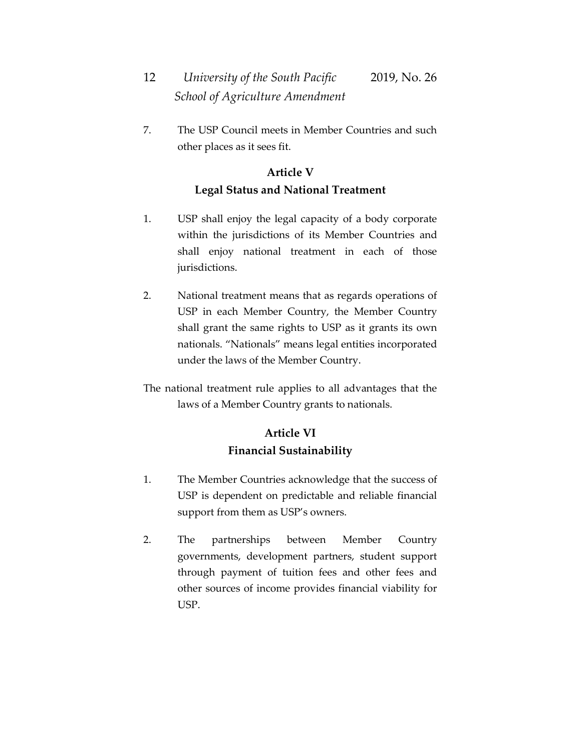7. The USP Council meets in Member Countries and such other places as it sees fit.

### **Article V Legal Status and National Treatment**

- 1. USP shall enjoy the legal capacity of a body corporate within the jurisdictions of its Member Countries and shall enjoy national treatment in each of those jurisdictions.
- 2. National treatment means that as regards operations of USP in each Member Country, the Member Country shall grant the same rights to USP as it grants its own nationals. "Nationals" means legal entities incorporated under the laws of the Member Country.

The national treatment rule applies to all advantages that the laws of a Member Country grants to nationals.

## **Article VI Financial Sustainability**

- 1. The Member Countries acknowledge that the success of USP is dependent on predictable and reliable financial support from them as USP's owners.
- 2. The partnerships between Member Country governments, development partners, student support through payment of tuition fees and other fees and other sources of income provides financial viability for USP.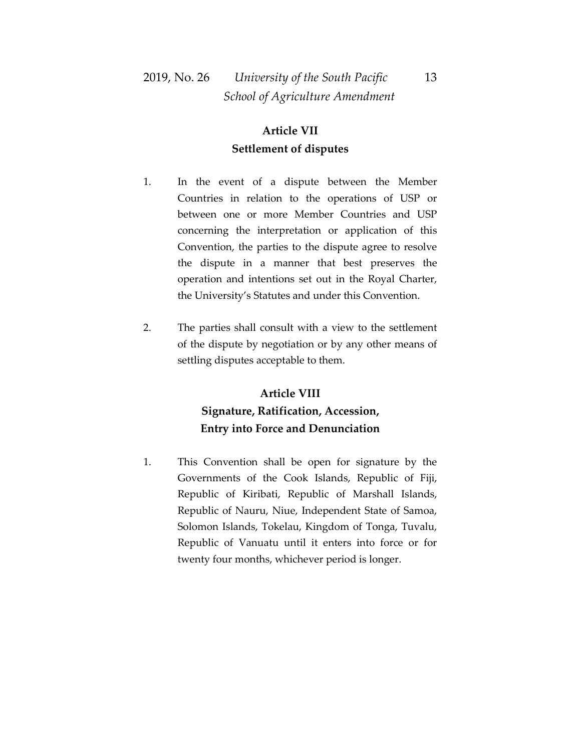## 2019, No. 26 *University of the South Pacific* 13  *School of Agriculture Amendment*

### **Article VII Settlement of disputes**

- 1. In the event of a dispute between the Member Countries in relation to the operations of USP or between one or more Member Countries and USP concerning the interpretation or application of this Convention, the parties to the dispute agree to resolve the dispute in a manner that best preserves the operation and intentions set out in the Royal Charter, the University's Statutes and under this Convention.
- 2. The parties shall consult with a view to the settlement of the dispute by negotiation or by any other means of settling disputes acceptable to them.

## **Article VIII Signature, Ratification, Accession, Entry into Force and Denunciation**

1. This Convention shall be open for signature by the Governments of the Cook Islands, Republic of Fiji, Republic of Kiribati, Republic of Marshall Islands, Republic of Nauru, Niue, Independent State of Samoa, Solomon Islands, Tokelau, Kingdom of Tonga, Tuvalu, Republic of Vanuatu until it enters into force or for twenty four months, whichever period is longer.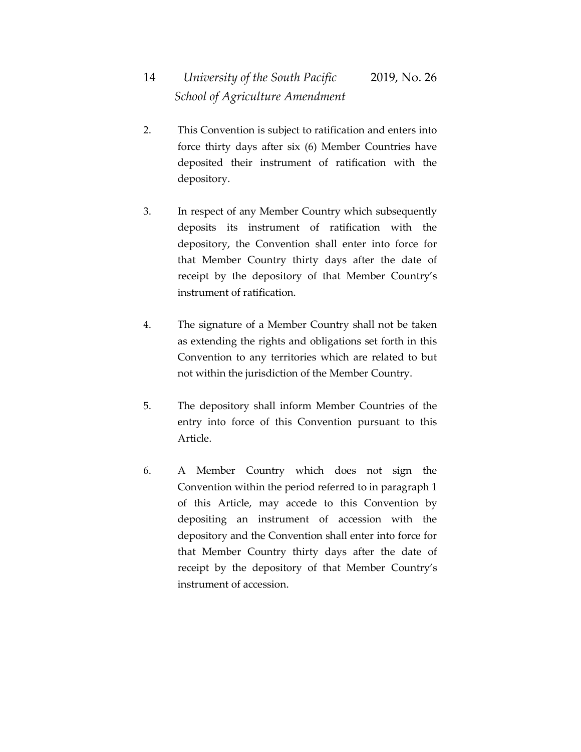- 2. This Convention is subject to ratification and enters into force thirty days after six (6) Member Countries have deposited their instrument of ratification with the depository.
- 3. In respect of any Member Country which subsequently deposits its instrument of ratification with the depository, the Convention shall enter into force for that Member Country thirty days after the date of receipt by the depository of that Member Country's instrument of ratification.
- 4. The signature of a Member Country shall not be taken as extending the rights and obligations set forth in this Convention to any territories which are related to but not within the jurisdiction of the Member Country.
- 5. The depository shall inform Member Countries of the entry into force of this Convention pursuant to this Article.
- 6. A Member Country which does not sign the Convention within the period referred to in paragraph 1 of this Article, may accede to this Convention by depositing an instrument of accession with the depository and the Convention shall enter into force for that Member Country thirty days after the date of receipt by the depository of that Member Country's instrument of accession.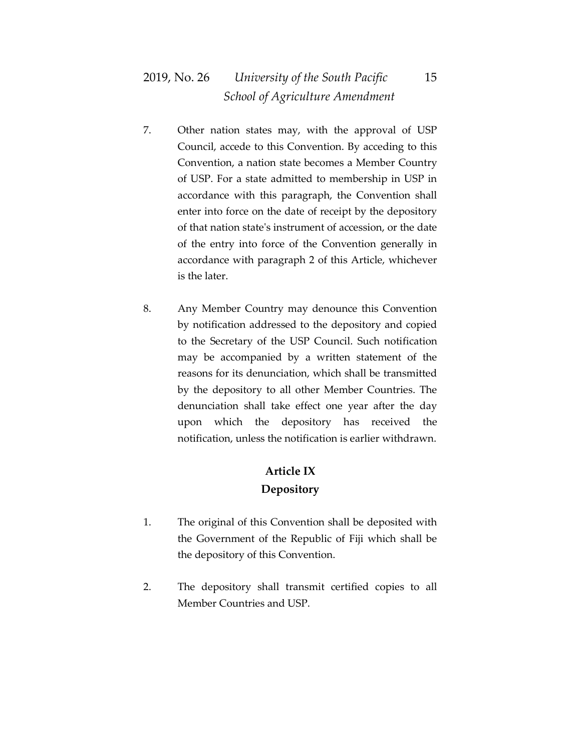## 2019, No. 26 *University of the South Pacific* 15  *School of Agriculture Amendment*

- 7. Other nation states may, with the approval of USP Council, accede to this Convention. By acceding to this Convention, a nation state becomes a Member Country of USP. For a state admitted to membership in USP in accordance with this paragraph, the Convention shall enter into force on the date of receipt by the depository of that nation state's instrument of accession, or the date of the entry into force of the Convention generally in accordance with paragraph 2 of this Article, whichever is the later.
- 8. Any Member Country may denounce this Convention by notification addressed to the depository and copied to the Secretary of the USP Council. Such notification may be accompanied by a written statement of the reasons for its denunciation, which shall be transmitted by the depository to all other Member Countries. The denunciation shall take effect one year after the day upon which the depository has received the notification, unless the notification is earlier withdrawn.

### **Article IX Depository**

- 1. The original of this Convention shall be deposited with the Government of the Republic of Fiji which shall be the depository of this Convention.
- 2. The depository shall transmit certified copies to all Member Countries and USP.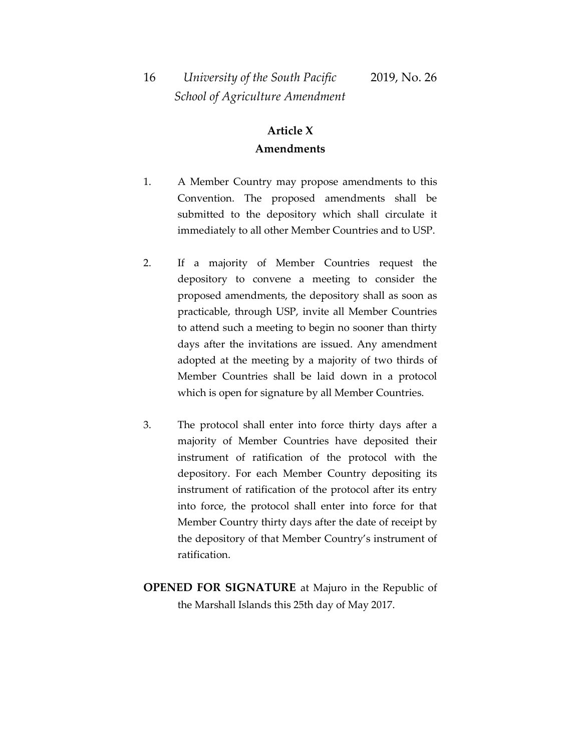### **Article X Amendments**

- 1. A Member Country may propose amendments to this Convention. The proposed amendments shall be submitted to the depository which shall circulate it immediately to all other Member Countries and to USP.
- 2. If a majority of Member Countries request the depository to convene a meeting to consider the proposed amendments, the depository shall as soon as practicable, through USP, invite all Member Countries to attend such a meeting to begin no sooner than thirty days after the invitations are issued. Any amendment adopted at the meeting by a majority of two thirds of Member Countries shall be laid down in a protocol which is open for signature by all Member Countries.
- 3. The protocol shall enter into force thirty days after a majority of Member Countries have deposited their instrument of ratification of the protocol with the depository. For each Member Country depositing its instrument of ratification of the protocol after its entry into force, the protocol shall enter into force for that Member Country thirty days after the date of receipt by the depository of that Member Country's instrument of ratification.
- **OPENED FOR SIGNATURE** at Majuro in the Republic of the Marshall Islands this 25th day of May 2017.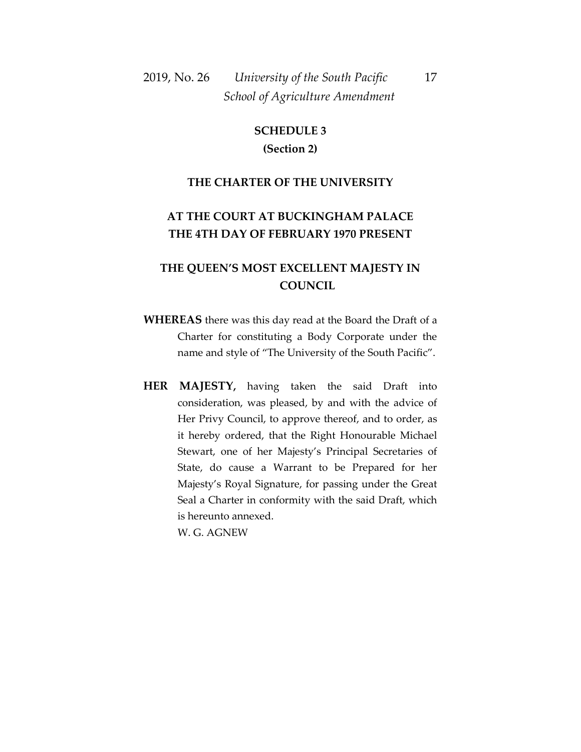## 2019, No. 26 *University of the South Pacific* 17  *School of Agriculture Amendment*

### **SCHEDULE 3 (Section 2)**

#### **THE CHARTER OF THE UNIVERSITY**

### **AT THE COURT AT BUCKINGHAM PALACE THE 4TH DAY OF FEBRUARY 1970 PRESENT**

### **THE QUEEN'S MOST EXCELLENT MAJESTY IN COUNCIL**

- **WHEREAS** there was this day read at the Board the Draft of a Charter for constituting a Body Corporate under the name and style of "The University of the South Pacific".
- **HER MAJESTY,** having taken the said Draft into consideration, was pleased, by and with the advice of Her Privy Council, to approve thereof, and to order, as it hereby ordered, that the Right Honourable Michael Stewart, one of her Majesty's Principal Secretaries of State, do cause a Warrant to be Prepared for her Majesty's Royal Signature, for passing under the Great Seal a Charter in conformity with the said Draft, which is hereunto annexed.

W. G. AGNEW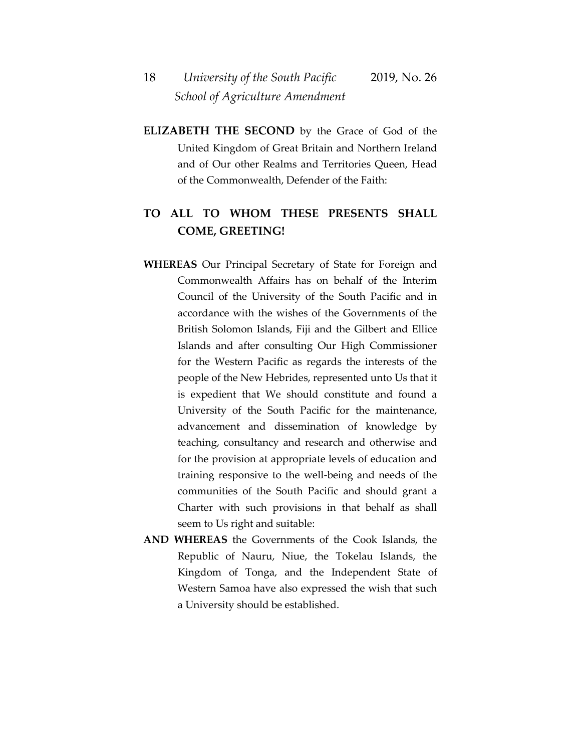18 *University of the South Pacific* 2019, No. 26  *School of Agriculture Amendment*

**ELIZABETH THE SECOND** by the Grace of God of the United Kingdom of Great Britain and Northern Ireland and of Our other Realms and Territories Queen, Head of the Commonwealth, Defender of the Faith:

### **TO ALL TO WHOM THESE PRESENTS SHALL COME, GREETING!**

- **WHEREAS** Our Principal Secretary of State for Foreign and Commonwealth Affairs has on behalf of the Interim Council of the University of the South Pacific and in accordance with the wishes of the Governments of the British Solomon Islands, Fiji and the Gilbert and Ellice Islands and after consulting Our High Commissioner for the Western Pacific as regards the interests of the people of the New Hebrides, represented unto Us that it is expedient that We should constitute and found a University of the South Pacific for the maintenance, advancement and dissemination of knowledge by teaching, consultancy and research and otherwise and for the provision at appropriate levels of education and training responsive to the well-being and needs of the communities of the South Pacific and should grant a Charter with such provisions in that behalf as shall seem to Us right and suitable:
- **AND WHEREAS** the Governments of the Cook Islands, the Republic of Nauru, Niue, the Tokelau Islands, the Kingdom of Tonga, and the Independent State of Western Samoa have also expressed the wish that such a University should be established.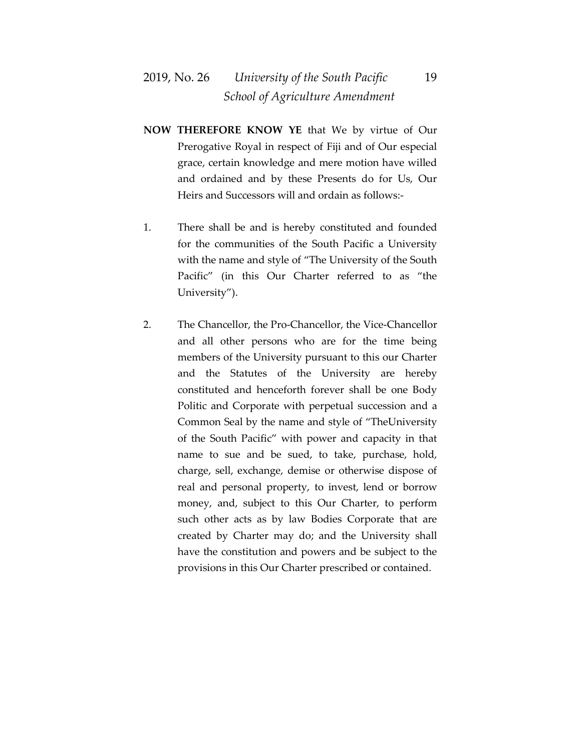### 2019, No. 26 *University of the South Pacific* 19  *School of Agriculture Amendment*

- **NOW THEREFORE KNOW YE** that We by virtue of Our Prerogative Royal in respect of Fiji and of Our especial grace, certain knowledge and mere motion have willed and ordained and by these Presents do for Us, Our Heirs and Successors will and ordain as follows:-
- 1. There shall be and is hereby constituted and founded for the communities of the South Pacific a University with the name and style of "The University of the South Pacific" (in this Our Charter referred to as "the University").
- 2. The Chancellor, the Pro-Chancellor, the Vice-Chancellor and all other persons who are for the time being members of the University pursuant to this our Charter and the Statutes of the University are hereby constituted and henceforth forever shall be one Body Politic and Corporate with perpetual succession and a Common Seal by the name and style of "TheUniversity of the South Pacific" with power and capacity in that name to sue and be sued, to take, purchase, hold, charge, sell, exchange, demise or otherwise dispose of real and personal property, to invest, lend or borrow money, and, subject to this Our Charter, to perform such other acts as by law Bodies Corporate that are created by Charter may do; and the University shall have the constitution and powers and be subject to the provisions in this Our Charter prescribed or contained.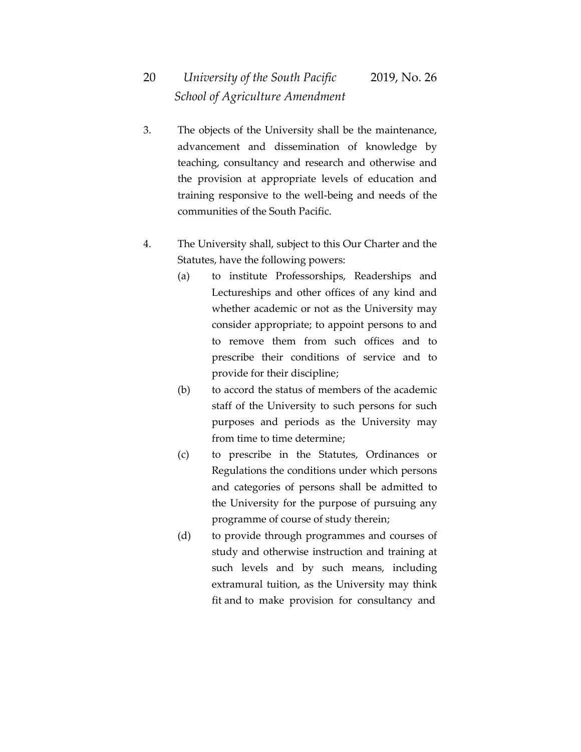- 3. The objects of the University shall be the maintenance, advancement and dissemination of knowledge by teaching, consultancy and research and otherwise and the provision at appropriate levels of education and training responsive to the well-being and needs of the communities of the South Pacific.
- 4. The University shall, subject to this Our Charter and the Statutes, have the following powers:
	- (a) to institute Professorships, Readerships and Lectureships and other offices of any kind and whether academic or not as the University may consider appropriate; to appoint persons to and to remove them from such offices and to prescribe their conditions of service and to provide for their discipline;
	- (b) to accord the status of members of the academic staff of the University to such persons for such purposes and periods as the University may from time to time determine;
	- (c) to prescribe in the Statutes, Ordinances or Regulations the conditions under which persons and categories of persons shall be admitted to the University for the purpose of pursuing any programme of course of study therein;
	- (d) to provide through programmes and courses of study and otherwise instruction and training at such levels and by such means, including extramural tuition, as the University may think fit and to make provision for consultancy and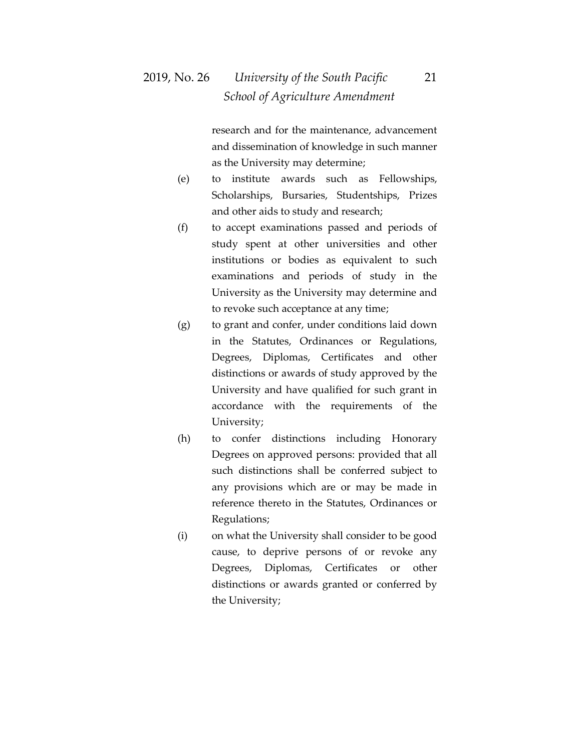research and for the maintenance, advancement and dissemination of knowledge in such manner as the University may determine;

- (e) to institute awards such as Fellowships, Scholarships, Bursaries, Studentships, Prizes and other aids to study and research;
- (f) to accept examinations passed and periods of study spent at other universities and other institutions or bodies as equivalent to such examinations and periods of study in the University as the University may determine and to revoke such acceptance at any time;
- (g) to grant and confer, under conditions laid down in the Statutes, Ordinances or Regulations, Degrees, Diplomas, Certificates and other distinctions or awards of study approved by the University and have qualified for such grant in accordance with the requirements of the University;
- (h) to confer distinctions including Honorary Degrees on approved persons: provided that all such distinctions shall be conferred subject to any provisions which are or may be made in reference thereto in the Statutes, Ordinances or Regulations;
- (i) on what the University shall consider to be good cause, to deprive persons of or revoke any Degrees, Diplomas, Certificates or other distinctions or awards granted or conferred by the University;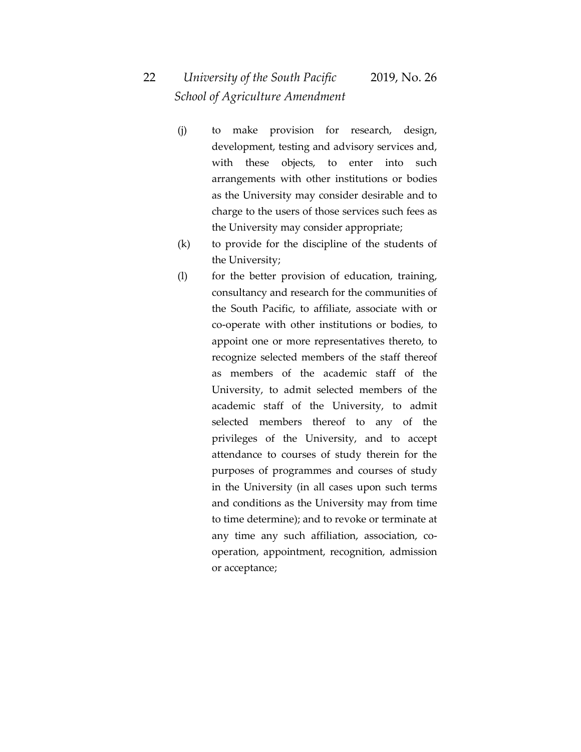- (j) to make provision for research, design, development, testing and advisory services and, with these objects, to enter into such arrangements with other institutions or bodies as the University may consider desirable and to charge to the users of those services such fees as the University may consider appropriate;
- (k) to provide for the discipline of the students of the University;
- (l) for the better provision of education, training, consultancy and research for the communities of the South Pacific, to affiliate, associate with or co-operate with other institutions or bodies, to appoint one or more representatives thereto, to recognize selected members of the staff thereof as members of the academic staff of the University, to admit selected members of the academic staff of the University, to admit selected members thereof to any of the privileges of the University, and to accept attendance to courses of study therein for the purposes of programmes and courses of study in the University (in all cases upon such terms and conditions as the University may from time to time determine); and to revoke or terminate at any time any such affiliation, association, cooperation, appointment, recognition, admission or acceptance;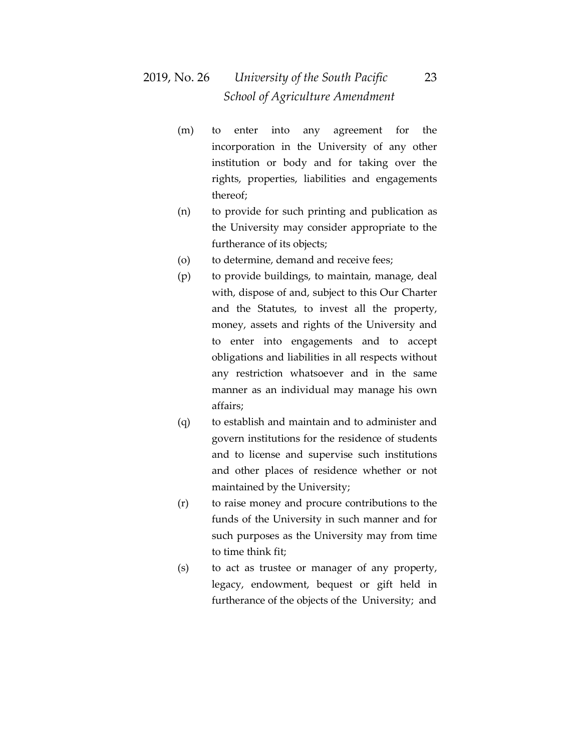## 2019, No. 26 *University of the South Pacific* 23  *School of Agriculture Amendment*

- (m) to enter into any agreement for the incorporation in the University of any other institution or body and for taking over the rights, properties, liabilities and engagements thereof;
- (n) to provide for such printing and publication as the University may consider appropriate to the furtherance of its objects;
- (o) to determine, demand and receive fees;
- (p) to provide buildings, to maintain, manage, deal with, dispose of and, subject to this Our Charter and the Statutes, to invest all the property, money, assets and rights of the University and to enter into engagements and to accept obligations and liabilities in all respects without any restriction whatsoever and in the same manner as an individual may manage his own affairs;
- (q) to establish and maintain and to administer and govern institutions for the residence of students and to license and supervise such institutions and other places of residence whether or not maintained by the University;
- (r) to raise money and procure contributions to the funds of the University in such manner and for such purposes as the University may from time to time think fit;
- (s) to act as trustee or manager of any property, legacy, endowment, bequest or gift held in furtherance of the objects of the University; and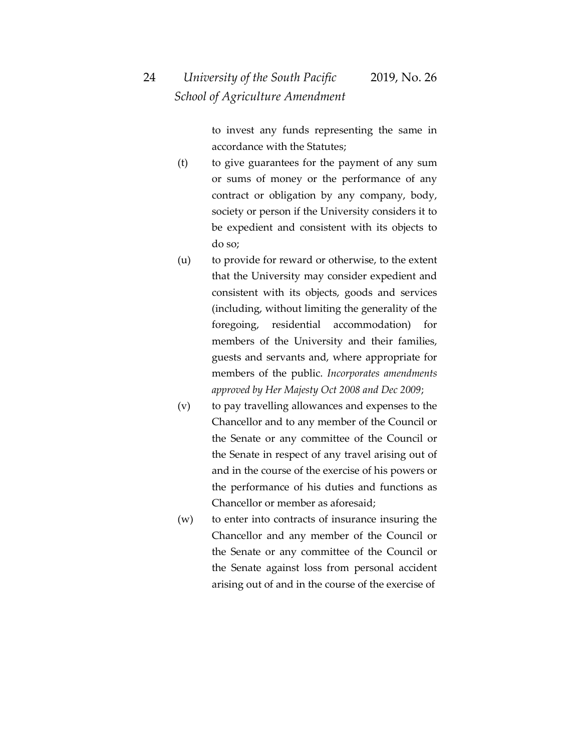to invest any funds representing the same in accordance with the Statutes;

- (t) to give guarantees for the payment of any sum or sums of money or the performance of any contract or obligation by any company, body, society or person if the University considers it to be expedient and consistent with its objects to do so;
- (u) to provide for reward or otherwise, to the extent that the University may consider expedient and consistent with its objects, goods and services (including, without limiting the generality of the foregoing, residential accommodation) for members of the University and their families, guests and servants and, where appropriate for members of the public. *Incorporates amendments approved by Her Majesty Oct 2008 and Dec 2009*;
- (v) to pay travelling allowances and expenses to the Chancellor and to any member of the Council or the Senate or any committee of the Council or the Senate in respect of any travel arising out of and in the course of the exercise of his powers or the performance of his duties and functions as Chancellor or member as aforesaid;
- (w) to enter into contracts of insurance insuring the Chancellor and any member of the Council or the Senate or any committee of the Council or the Senate against loss from personal accident arising out of and in the course of the exercise of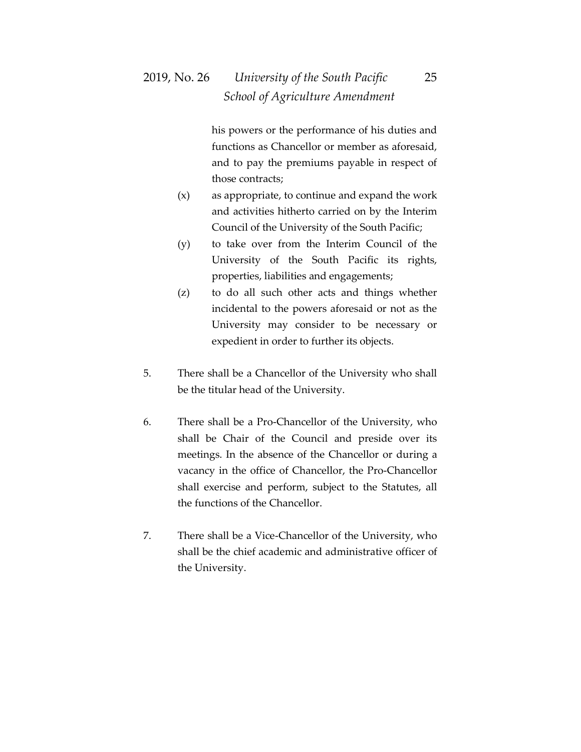his powers or the performance of his duties and functions as Chancellor or member as aforesaid, and to pay the premiums payable in respect of those contracts;

- (x) as appropriate, to continue and expand the work and activities hitherto carried on by the Interim Council of the University of the South Pacific;
- (y) to take over from the Interim Council of the University of the South Pacific its rights, properties, liabilities and engagements;
- (z) to do all such other acts and things whether incidental to the powers aforesaid or not as the University may consider to be necessary or expedient in order to further its objects.
- 5. There shall be a Chancellor of the University who shall be the titular head of the University.
- 6. There shall be a Pro-Chancellor of the University, who shall be Chair of the Council and preside over its meetings. In the absence of the Chancellor or during a vacancy in the office of Chancellor, the Pro-Chancellor shall exercise and perform, subject to the Statutes, all the functions of the Chancellor.
- 7. There shall be a Vice-Chancellor of the University, who shall be the chief academic and administrative officer of the University.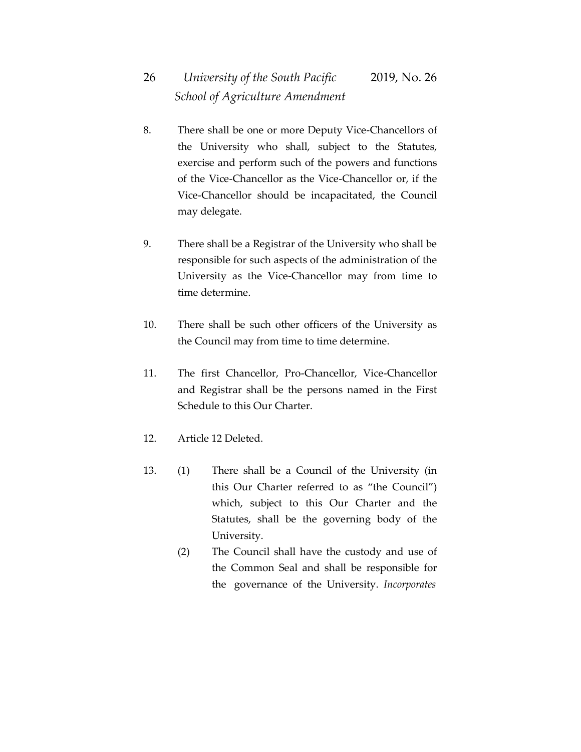- 8. There shall be one or more Deputy Vice-Chancellors of the University who shall, subject to the Statutes, exercise and perform such of the powers and functions of the Vice-Chancellor as the Vice-Chancellor or, if the Vice-Chancellor should be incapacitated, the Council may delegate.
- 9. There shall be a Registrar of the University who shall be responsible for such aspects of the administration of the University as the Vice-Chancellor may from time to time determine.
- 10. There shall be such other officers of the University as the Council may from time to time determine.
- 11. The first Chancellor, Pro-Chancellor, Vice-Chancellor and Registrar shall be the persons named in the First Schedule to this Our Charter.
- 12. Article 12 Deleted.
- 13. (1) There shall be a Council of the University (in this Our Charter referred to as "the Council") which, subject to this Our Charter and the Statutes, shall be the governing body of the University.
	- (2) The Council shall have the custody and use of the Common Seal and shall be responsible for the governance of the University. *Incorporates*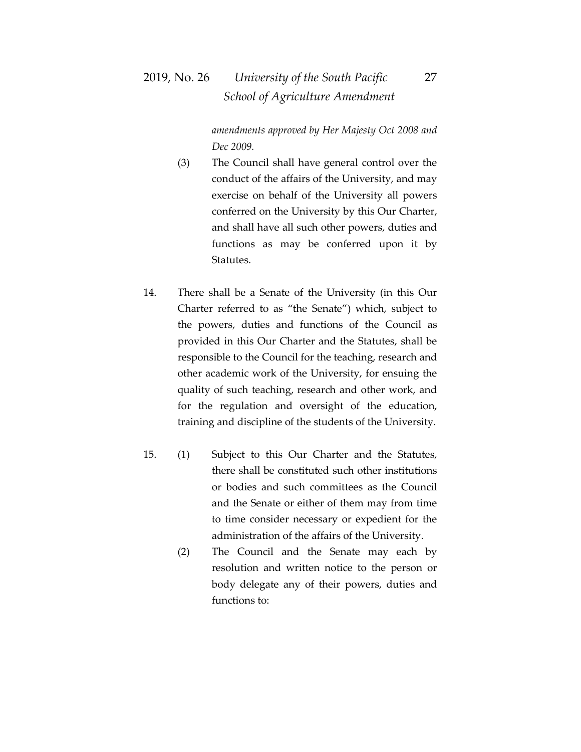## 2019, No. 26 *University of the South Pacific* 27  *School of Agriculture Amendment*

*amendments approved by Her Majesty Oct 2008 and Dec 2009.* 

- (3) The Council shall have general control over the conduct of the affairs of the University, and may exercise on behalf of the University all powers conferred on the University by this Our Charter, and shall have all such other powers, duties and functions as may be conferred upon it by Statutes.
- 14. There shall be a Senate of the University (in this Our Charter referred to as "the Senate") which, subject to the powers, duties and functions of the Council as provided in this Our Charter and the Statutes, shall be responsible to the Council for the teaching, research and other academic work of the University, for ensuing the quality of such teaching, research and other work, and for the regulation and oversight of the education, training and discipline of the students of the University.
- 15. (1) Subject to this Our Charter and the Statutes, there shall be constituted such other institutions or bodies and such committees as the Council and the Senate or either of them may from time to time consider necessary or expedient for the administration of the affairs of the University.
	- (2) The Council and the Senate may each by resolution and written notice to the person or body delegate any of their powers, duties and functions to: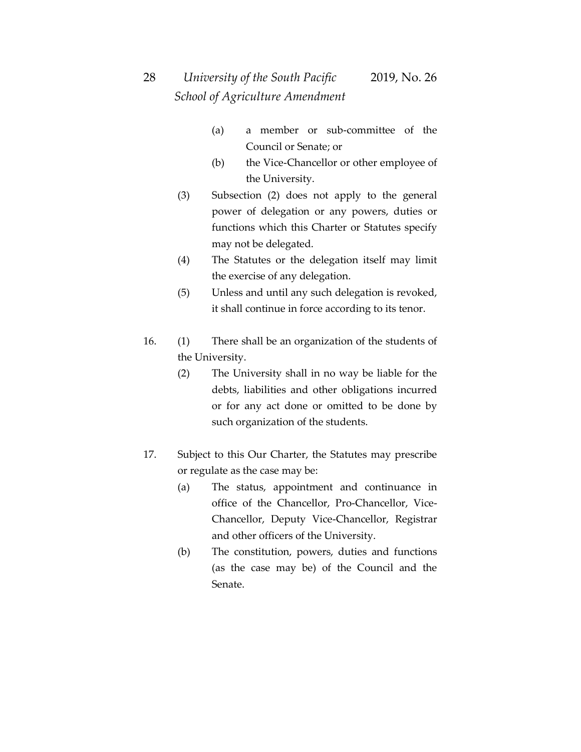- (a) a member or sub-committee of the Council or Senate; or
- (b) the Vice-Chancellor or other employee of the University.
- (3) Subsection (2) does not apply to the general power of delegation or any powers, duties or functions which this Charter or Statutes specify may not be delegated.
- (4) The Statutes or the delegation itself may limit the exercise of any delegation.
- (5) Unless and until any such delegation is revoked, it shall continue in force according to its tenor.
- 16. (1) There shall be an organization of the students of the University.
	- (2) The University shall in no way be liable for the debts, liabilities and other obligations incurred or for any act done or omitted to be done by such organization of the students.
- 17. Subject to this Our Charter, the Statutes may prescribe or regulate as the case may be:
	- (a) The status, appointment and continuance in office of the Chancellor, Pro-Chancellor, Vice-Chancellor, Deputy Vice-Chancellor, Registrar and other officers of the University.
	- (b) The constitution, powers, duties and functions (as the case may be) of the Council and the Senate.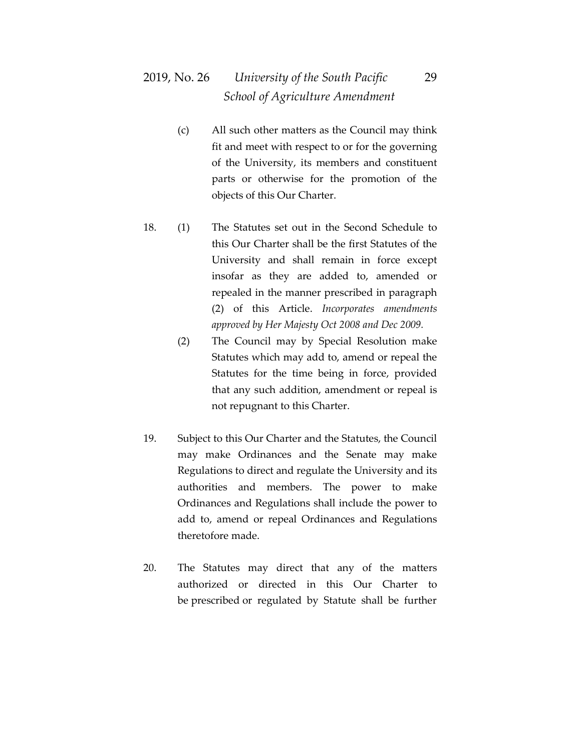## 2019, No. 26 *University of the South Pacific* 29  *School of Agriculture Amendment*

- (c) All such other matters as the Council may think fit and meet with respect to or for the governing of the University, its members and constituent parts or otherwise for the promotion of the objects of this Our Charter.
- 18. (1) The Statutes set out in the Second Schedule to this Our Charter shall be the first Statutes of the University and shall remain in force except insofar as they are added to, amended or repealed in the manner prescribed in paragraph (2) of this Article. *Incorporates amendments approved by Her Majesty Oct 2008 and Dec 2009.* 
	- (2) The Council may by Special Resolution make Statutes which may add to, amend or repeal the Statutes for the time being in force, provided that any such addition, amendment or repeal is not repugnant to this Charter.
- 19. Subject to this Our Charter and the Statutes, the Council may make Ordinances and the Senate may make Regulations to direct and regulate the University and its authorities and members. The power to make Ordinances and Regulations shall include the power to add to, amend or repeal Ordinances and Regulations theretofore made.
- 20. The Statutes may direct that any of the matters authorized or directed in this Our Charter to be prescribed or regulated by Statute shall be further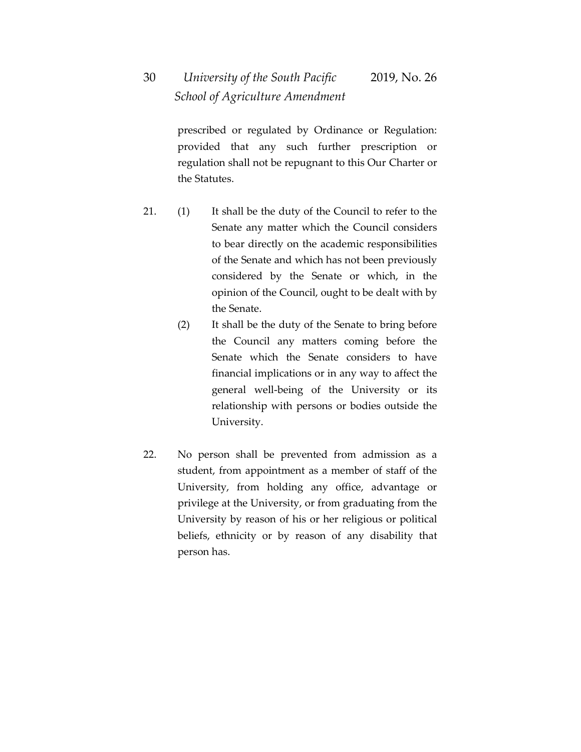# 30 *University of the South Pacific* 2019, No. 26  *School of Agriculture Amendment*

prescribed or regulated by Ordinance or Regulation: provided that any such further prescription or regulation shall not be repugnant to this Our Charter or the Statutes.

- 21. (1) It shall be the duty of the Council to refer to the Senate any matter which the Council considers to bear directly on the academic responsibilities of the Senate and which has not been previously considered by the Senate or which, in the opinion of the Council, ought to be dealt with by the Senate.
	- (2) It shall be the duty of the Senate to bring before the Council any matters coming before the Senate which the Senate considers to have financial implications or in any way to affect the general well-being of the University or its relationship with persons or bodies outside the University.
- 22. No person shall be prevented from admission as a student, from appointment as a member of staff of the University, from holding any office, advantage or privilege at the University, or from graduating from the University by reason of his or her religious or political beliefs, ethnicity or by reason of any disability that person has.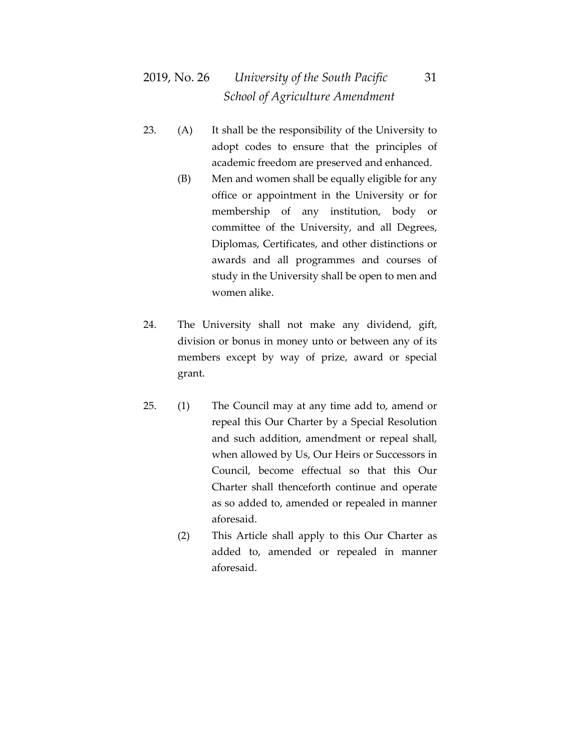- 23. (A) It shall be the responsibility of the University to adopt codes to ensure that the principles of academic freedom are preserved and enhanced.
	- (B) Men and women shall be equally eligible for any office or appointment in the University or for membership of any institution, body or committee of the University, and all Degrees, Diplomas, Certificates, and other distinctions or awards and all programmes and courses of study in the University shall be open to men and women alike.
- 24. The University shall not make any dividend, gift, division or bonus in money unto or between any of its members except by way of prize, award or special grant.
- 25. (1) The Council may at any time add to, amend or repeal this Our Charter by a Special Resolution and such addition, amendment or repeal shall, when allowed by Us, Our Heirs or Successors in Council, become effectual so that this Our Charter shall thenceforth continue and operate as so added to, amended or repealed in manner aforesaid.
	- (2) This Article shall apply to this Our Charter as added to, amended or repealed in manner aforesaid.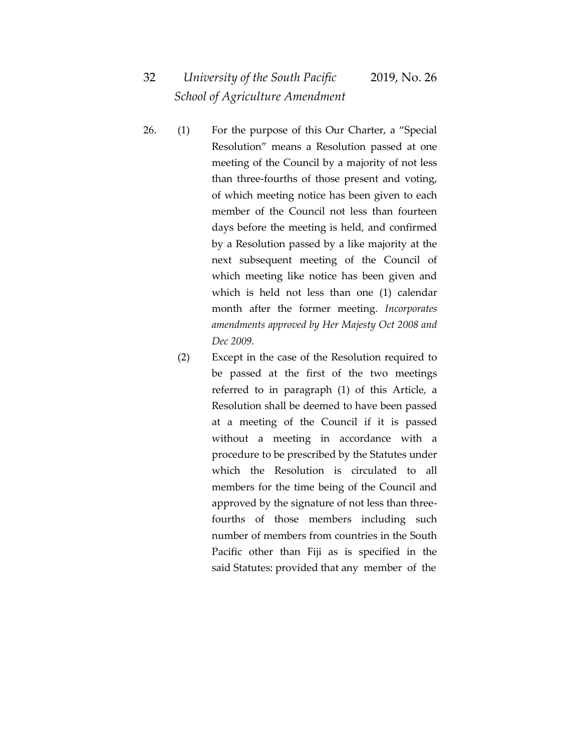- 26. (1) For the purpose of this Our Charter, a "Special Resolution" means a Resolution passed at one meeting of the Council by a majority of not less than three-fourths of those present and voting, of which meeting notice has been given to each member of the Council not less than fourteen days before the meeting is held, and confirmed by a Resolution passed by a like majority at the next subsequent meeting of the Council of which meeting like notice has been given and which is held not less than one (1) calendar month after the former meeting. *Incorporates amendments approved by Her Majesty Oct 2008 and Dec 2009.* 
	- (2) Except in the case of the Resolution required to be passed at the first of the two meetings referred to in paragraph (1) of this Article, a Resolution shall be deemed to have been passed at a meeting of the Council if it is passed without a meeting in accordance with a procedure to be prescribed by the Statutes under which the Resolution is circulated to all members for the time being of the Council and approved by the signature of not less than threefourths of those members including such number of members from countries in the South Pacific other than Fiji as is specified in the said Statutes: provided that any member of the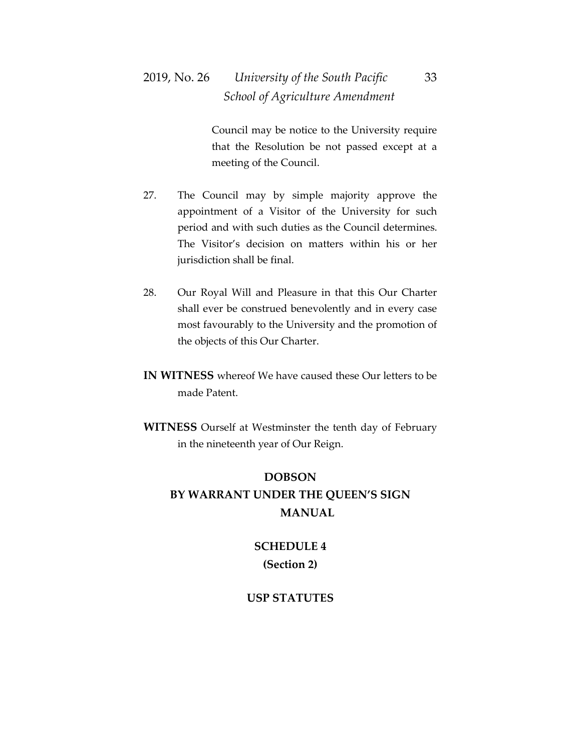## 2019, No. 26 *University of the South Pacific* 33  *School of Agriculture Amendment*

Council may be notice to the University require that the Resolution be not passed except at a meeting of the Council.

- 27. The Council may by simple majority approve the appointment of a Visitor of the University for such period and with such duties as the Council determines. The Visitor's decision on matters within his or her jurisdiction shall be final.
- 28. Our Royal Will and Pleasure in that this Our Charter shall ever be construed benevolently and in every case most favourably to the University and the promotion of the objects of this Our Charter.
- **IN WITNESS** whereof We have caused these Our letters to be made Patent.
- **WITNESS** Ourself at Westminster the tenth day of February in the nineteenth year of Our Reign.

## **DOBSON BY WARRANT UNDER THE QUEEN'S SIGN MANUAL**

### **SCHEDULE 4 (Section 2)**

#### **USP STATUTES**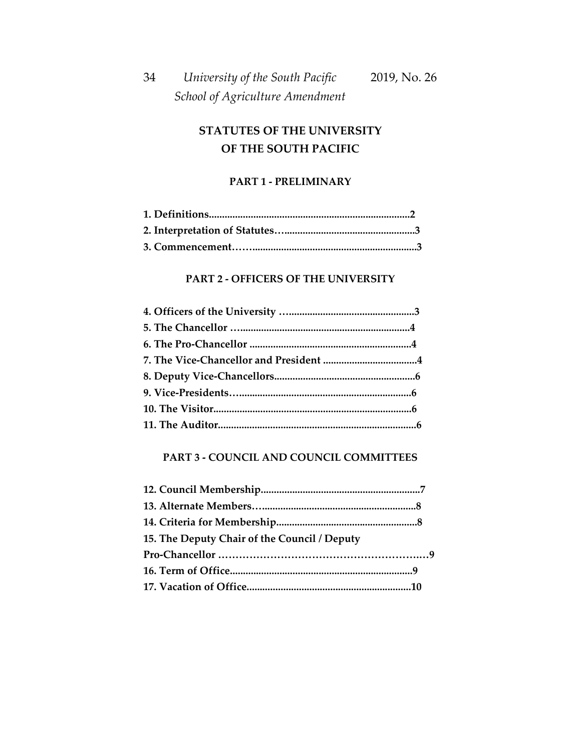## **STATUTES OF THE UNIVERSITY OF THE SOUTH PACIFIC**

#### **PART 1 - PRELIMINARY**

#### **PART 2 - OFFICERS OF THE UNIVERSITY**

#### **PART 3 - COUNCIL AND COUNCIL COMMITTEES**

| 15. The Deputy Chair of the Council / Deputy |  |
|----------------------------------------------|--|
|                                              |  |
|                                              |  |
|                                              |  |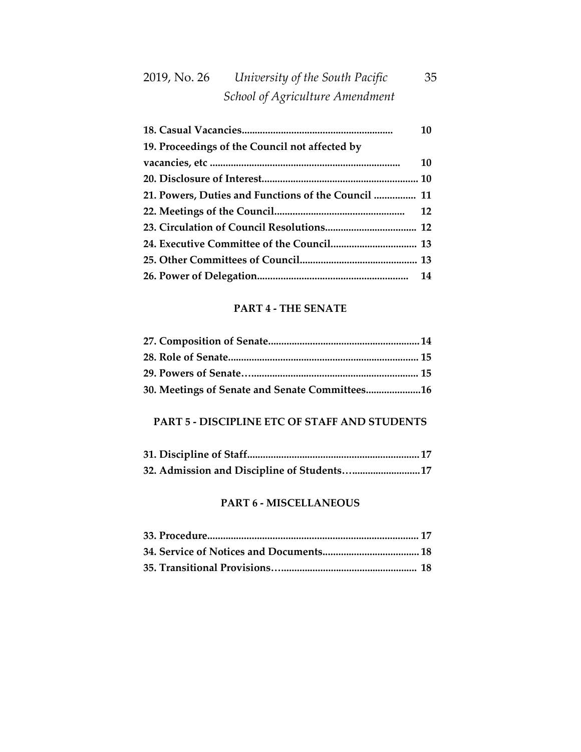# 2019, No. 26 *University of the South Pacific* 35  *School of Agriculture Amendment*

|                                                     | 10 |
|-----------------------------------------------------|----|
| 19. Proceedings of the Council not affected by      |    |
|                                                     | 10 |
|                                                     |    |
| 21. Powers, Duties and Functions of the Council  11 |    |
|                                                     |    |
|                                                     |    |
|                                                     |    |
|                                                     |    |
|                                                     |    |

#### **PART 4 - THE SENATE**

| 30. Meetings of Senate and Senate Committees16 |  |
|------------------------------------------------|--|

#### **PART 5 - DISCIPLINE ETC OF STAFF AND STUDENTS**

| 32. Admission and Discipline of Students 17 |  |
|---------------------------------------------|--|

### **PART 6 - MISCELLANEOUS**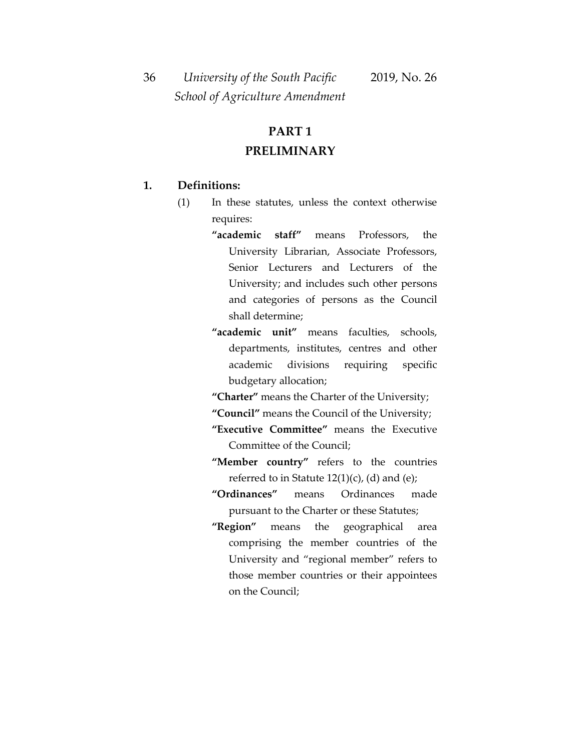36 *University of the South Pacific* 2019, No. 26  *School of Agriculture Amendment*

# **PART 1 PRELIMINARY**

#### **1. Definitions:**

- (1) In these statutes, unless the context otherwise requires:
	- **"academic staff"** means Professors, the University Librarian, Associate Professors, Senior Lecturers and Lecturers of the University; and includes such other persons and categories of persons as the Council shall determine;
	- **"academic unit"** means faculties, schools, departments, institutes, centres and other academic divisions requiring specific budgetary allocation;
	- **"Charter"** means the Charter of the University;
	- **"Council"** means the Council of the University;
	- **"Executive Committee"** means the Executive Committee of the Council;
	- **"Member country"** refers to the countries referred to in Statute  $12(1)(c)$ , (d) and (e);
	- **"Ordinances"** means Ordinances made pursuant to the Charter or these Statutes;
	- **"Region"** means the geographical area comprising the member countries of the University and "regional member" refers to those member countries or their appointees on the Council;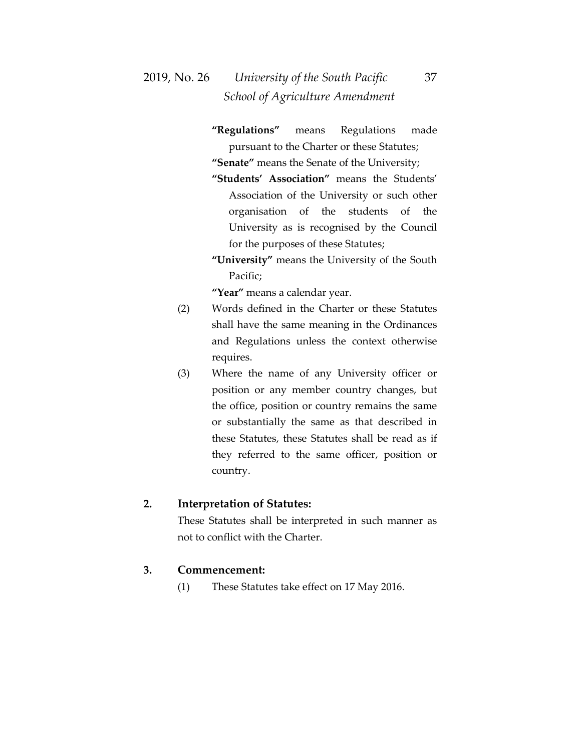- **"Regulations"** means Regulations made pursuant to the Charter or these Statutes; **"Senate"** means the Senate of the University;
- **"Students' Association"** means the Students' Association of the University or such other organisation of the students of the University as is recognised by the Council for the purposes of these Statutes;
- **"University"** means the University of the South Pacific;

**"Year"** means a calendar year.

- (2) Words defined in the Charter or these Statutes shall have the same meaning in the Ordinances and Regulations unless the context otherwise requires.
- (3) Where the name of any University officer or position or any member country changes, but the office, position or country remains the same or substantially the same as that described in these Statutes, these Statutes shall be read as if they referred to the same officer, position or country.

#### **2. Interpretation of Statutes:**

These Statutes shall be interpreted in such manner as not to conflict with the Charter.

#### **3. Commencement:**

(1) These Statutes take effect on 17 May 2016.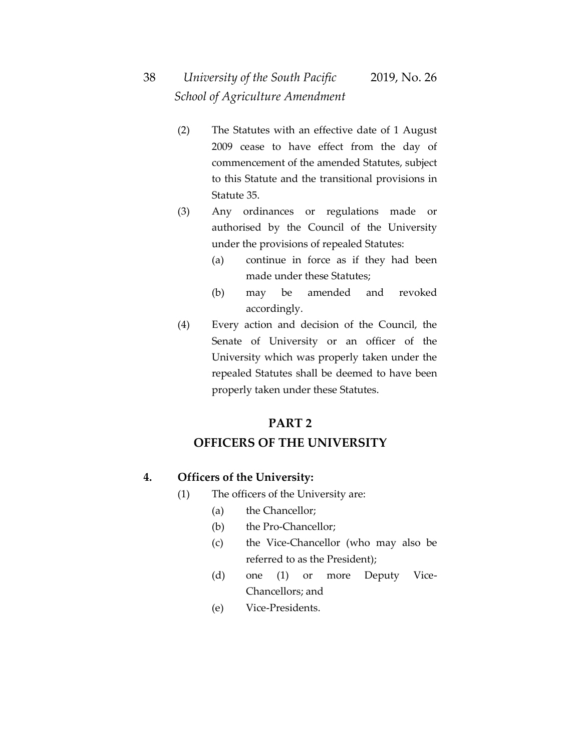- (2) The Statutes with an effective date of 1 August 2009 cease to have effect from the day of commencement of the amended Statutes, subject to this Statute and the transitional provisions in Statute 35.
- (3) Any ordinances or regulations made or authorised by the Council of the University under the provisions of repealed Statutes:
	- (a) continue in force as if they had been made under these Statutes;
	- (b) may be amended and revoked accordingly.
- (4) Every action and decision of the Council, the Senate of University or an officer of the University which was properly taken under the repealed Statutes shall be deemed to have been properly taken under these Statutes.

## **PART 2 OFFICERS OF THE UNIVERSITY**

### **4. Officers of the University:**

- (1) The officers of the University are:
	- (a) the Chancellor;
	- (b) the Pro-Chancellor;
	- (c) the Vice-Chancellor (who may also be referred to as the President);
	- (d) one (1) or more Deputy Vice-Chancellors; and
	- (e) Vice-Presidents.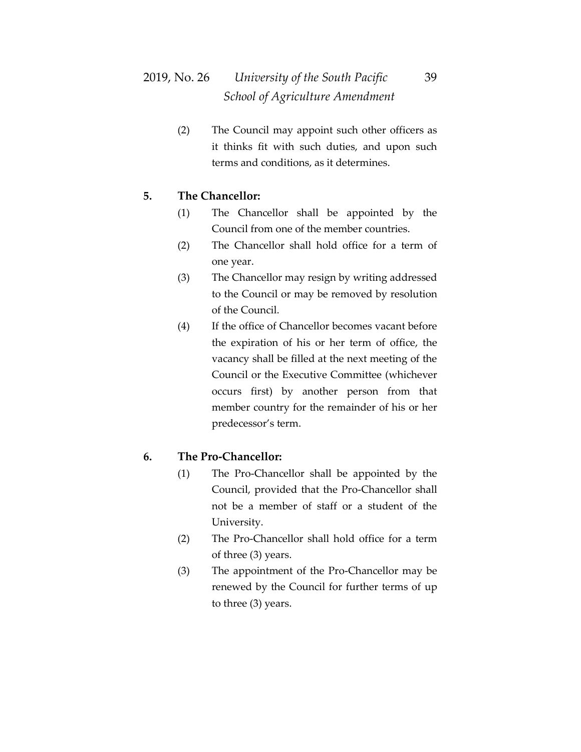(2) The Council may appoint such other officers as it thinks fit with such duties, and upon such terms and conditions, as it determines.

### **5. The Chancellor:**

- (1) The Chancellor shall be appointed by the Council from one of the member countries.
- (2) The Chancellor shall hold office for a term of one year.
- (3) The Chancellor may resign by writing addressed to the Council or may be removed by resolution of the Council.
- (4) If the office of Chancellor becomes vacant before the expiration of his or her term of office, the vacancy shall be filled at the next meeting of the Council or the Executive Committee (whichever occurs first) by another person from that member country for the remainder of his or her predecessor's term.

#### **6. The Pro-Chancellor:**

- (1) The Pro-Chancellor shall be appointed by the Council, provided that the Pro-Chancellor shall not be a member of staff or a student of the University.
- (2) The Pro-Chancellor shall hold office for a term of three (3) years.
- (3) The appointment of the Pro-Chancellor may be renewed by the Council for further terms of up to three (3) years.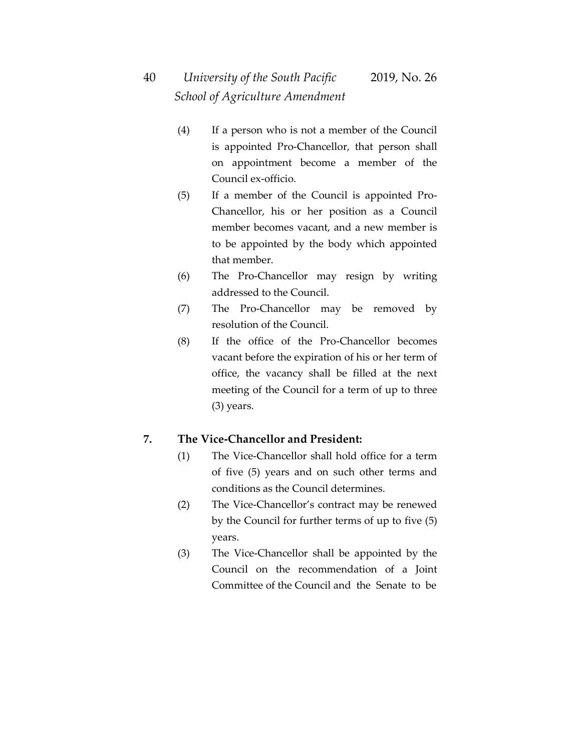- (4) If a person who is not a member of the Council is appointed Pro-Chancellor, that person shall on appointment become a member of the Council ex-officio.
- (5) If a member of the Council is appointed Pro-Chancellor, his or her position as a Council member becomes vacant, and a new member is to be appointed by the body which appointed that member.
- (6) The Pro-Chancellor may resign by writing addressed to the Council.
- (7) The Pro-Chancellor may be removed by resolution of the Council.
- (8) If the office of the Pro-Chancellor becomes vacant before the expiration of his or her term of office, the vacancy shall be filled at the next meeting of the Council for a term of up to three (3) years.

#### **7. The Vice-Chancellor and President:**

- (1) The Vice-Chancellor shall hold office for a term of five (5) years and on such other terms and conditions as the Council determines.
- (2) The Vice-Chancellor's contract may be renewed by the Council for further terms of up to five (5) years.
- (3) The Vice-Chancellor shall be appointed by the Council on the recommendation of a Joint Committee of the Council and the Senate to be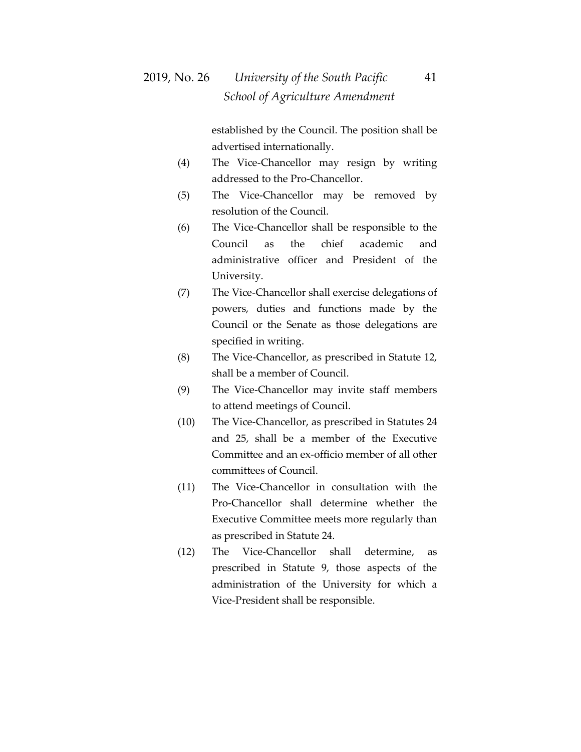established by the Council. The position shall be advertised internationally.

- (4) The Vice-Chancellor may resign by writing addressed to the Pro-Chancellor.
- (5) The Vice-Chancellor may be removed by resolution of the Council.
- (6) The Vice-Chancellor shall be responsible to the Council as the chief academic and administrative officer and President of the University.
- (7) The Vice-Chancellor shall exercise delegations of powers, duties and functions made by the Council or the Senate as those delegations are specified in writing.
- (8) The Vice-Chancellor, as prescribed in Statute 12, shall be a member of Council.
- (9) The Vice-Chancellor may invite staff members to attend meetings of Council.
- (10) The Vice-Chancellor, as prescribed in Statutes 24 and 25, shall be a member of the Executive Committee and an ex-officio member of all other committees of Council.
- (11) The Vice-Chancellor in consultation with the Pro-Chancellor shall determine whether the Executive Committee meets more regularly than as prescribed in Statute 24.
- (12) The Vice-Chancellor shall determine, as prescribed in Statute 9, those aspects of the administration of the University for which a Vice-President shall be responsible.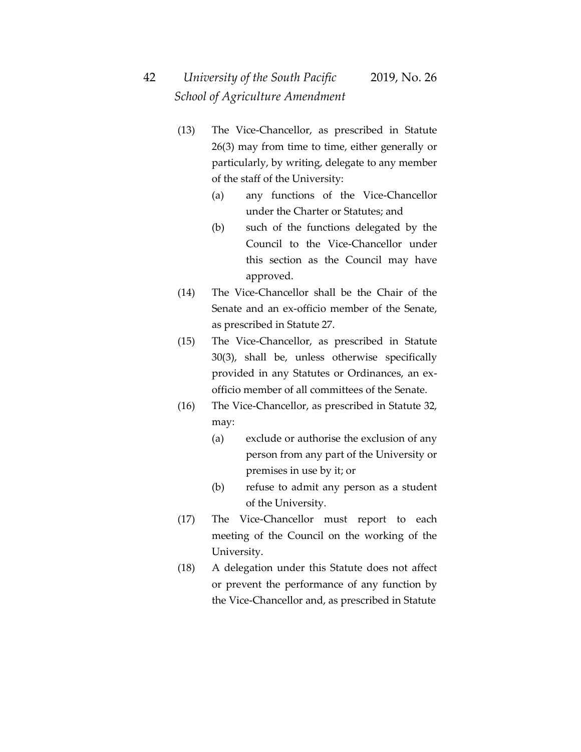- (13) The Vice-Chancellor, as prescribed in Statute 26(3) may from time to time, either generally or particularly, by writing, delegate to any member of the staff of the University:
	- (a) any functions of the Vice-Chancellor under the Charter or Statutes; and
	- (b) such of the functions delegated by the Council to the Vice-Chancellor under this section as the Council may have approved.
- (14) The Vice-Chancellor shall be the Chair of the Senate and an ex-officio member of the Senate, as prescribed in Statute 27.
- (15) The Vice-Chancellor, as prescribed in Statute 30(3), shall be, unless otherwise specifically provided in any Statutes or Ordinances, an exofficio member of all committees of the Senate.
- (16) The Vice-Chancellor, as prescribed in Statute 32, may:
	- (a) exclude or authorise the exclusion of any person from any part of the University or premises in use by it; or
	- (b) refuse to admit any person as a student of the University.
- (17) The Vice-Chancellor must report to each meeting of the Council on the working of the University.
- (18) A delegation under this Statute does not affect or prevent the performance of any function by the Vice-Chancellor and, as prescribed in Statute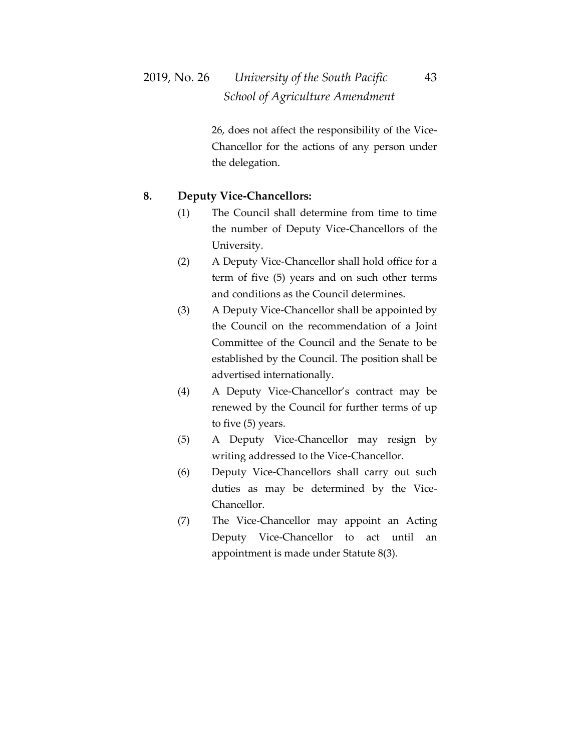26, does not affect the responsibility of the Vice-Chancellor for the actions of any person under the delegation.

#### **8. Deputy Vice-Chancellors:**

- (1) The Council shall determine from time to time the number of Deputy Vice-Chancellors of the University.
- (2) A Deputy Vice-Chancellor shall hold office for a term of five (5) years and on such other terms and conditions as the Council determines.
- (3) A Deputy Vice-Chancellor shall be appointed by the Council on the recommendation of a Joint Committee of the Council and the Senate to be established by the Council. The position shall be advertised internationally.
- (4) A Deputy Vice-Chancellor's contract may be renewed by the Council for further terms of up to five (5) years.
- (5) A Deputy Vice-Chancellor may resign by writing addressed to the Vice-Chancellor.
- (6) Deputy Vice-Chancellors shall carry out such duties as may be determined by the Vice-Chancellor.
- (7) The Vice-Chancellor may appoint an Acting Deputy Vice-Chancellor to act until an appointment is made under Statute 8(3).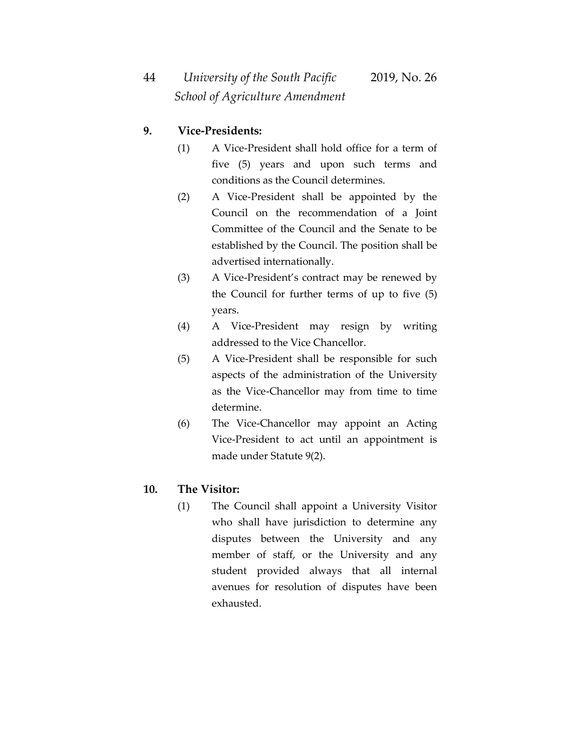### **9. Vice-Presidents:**

- (1) A Vice-President shall hold office for a term of five (5) years and upon such terms and conditions as the Council determines.
- (2) A Vice-President shall be appointed by the Council on the recommendation of a Joint Committee of the Council and the Senate to be established by the Council. The position shall be advertised internationally.
- (3) A Vice-President's contract may be renewed by the Council for further terms of up to five (5) years.
- (4) A Vice-President may resign by writing addressed to the Vice Chancellor.
- (5) A Vice-President shall be responsible for such aspects of the administration of the University as the Vice-Chancellor may from time to time determine.
- (6) The Vice-Chancellor may appoint an Acting Vice-President to act until an appointment is made under Statute 9(2).

#### **10. The Visitor:**

(1) The Council shall appoint a University Visitor who shall have jurisdiction to determine any disputes between the University and any member of staff, or the University and any student provided always that all internal avenues for resolution of disputes have been exhausted.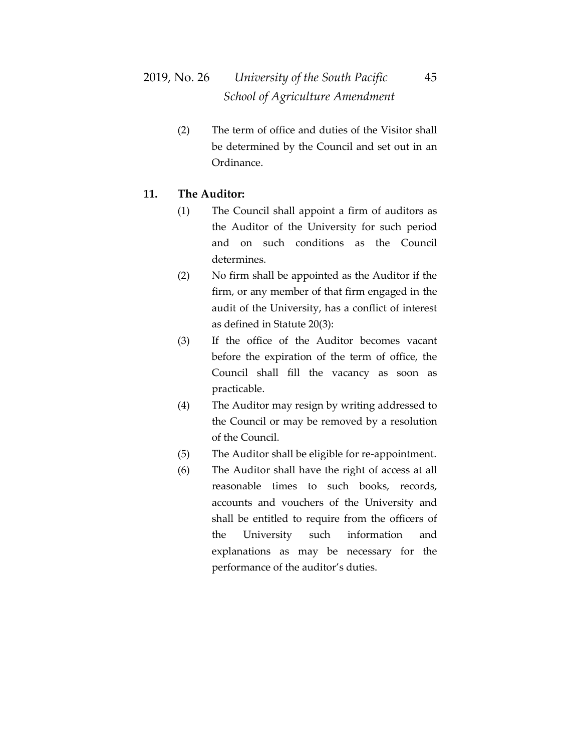## 2019, No. 26 *University of the South Pacific* 45  *School of Agriculture Amendment*

(2) The term of office and duties of the Visitor shall be determined by the Council and set out in an Ordinance.

#### **11. The Auditor:**

- (1) The Council shall appoint a firm of auditors as the Auditor of the University for such period and on such conditions as the Council determines.
- (2) No firm shall be appointed as the Auditor if the firm, or any member of that firm engaged in the audit of the University, has a conflict of interest as defined in Statute 20(3):
- (3) If the office of the Auditor becomes vacant before the expiration of the term of office, the Council shall fill the vacancy as soon as practicable.
- (4) The Auditor may resign by writing addressed to the Council or may be removed by a resolution of the Council.
- (5) The Auditor shall be eligible for re-appointment.
- (6) The Auditor shall have the right of access at all reasonable times to such books, records, accounts and vouchers of the University and shall be entitled to require from the officers of the University such information and explanations as may be necessary for the performance of the auditor's duties.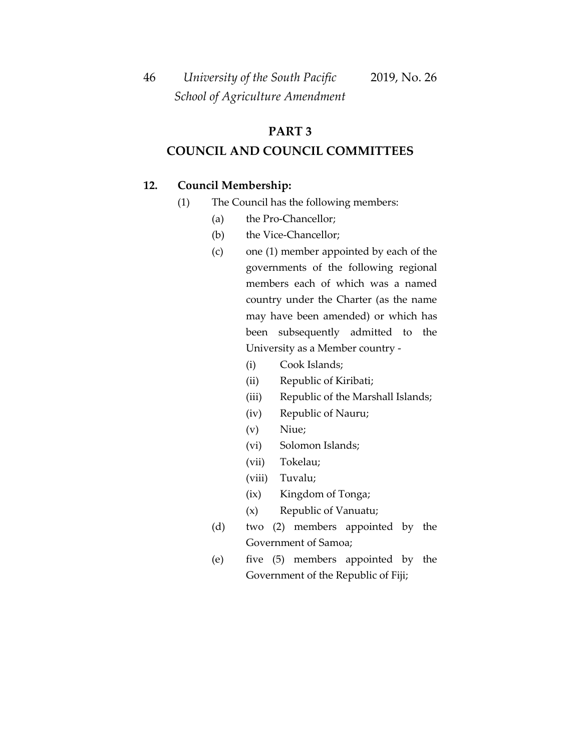46 *University of the South Pacific* 2019, No. 26  *School of Agriculture Amendment*

### **PART 3**

#### **COUNCIL AND COUNCIL COMMITTEES**

#### **12. Council Membership:**

- (1) The Council has the following members:
	- (a) the Pro-Chancellor;
	- (b) the Vice-Chancellor;
	- (c) one (1) member appointed by each of the governments of the following regional members each of which was a named country under the Charter (as the name may have been amended) or which has been subsequently admitted to the University as a Member country -
		- (i) Cook Islands;
		- (ii) Republic of Kiribati;
		- (iii) Republic of the Marshall Islands;
		- (iv) Republic of Nauru;
		- (v) Niue;
		- (vi) Solomon Islands;
		- (vii) Tokelau;
		- (viii) Tuvalu;
		- (ix) Kingdom of Tonga;
		- (x) Republic of Vanuatu;
	- (d) two (2) members appointed by the Government of Samoa;
	- (e) five (5) members appointed by the Government of the Republic of Fiji;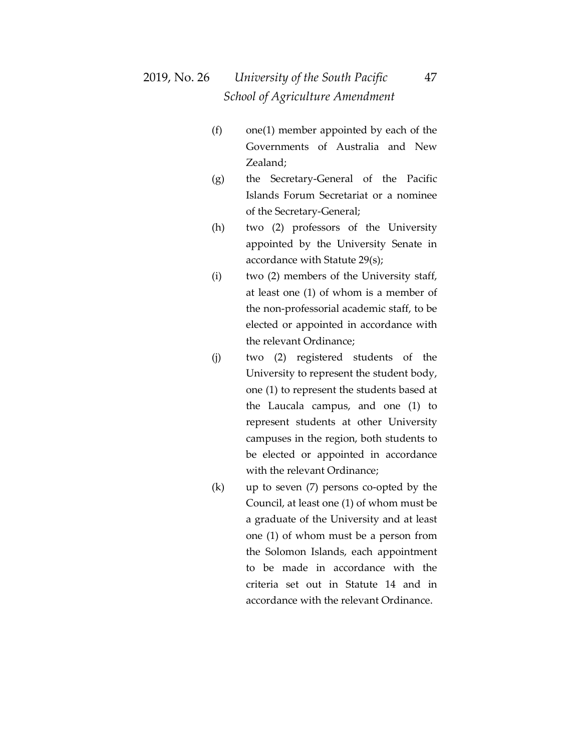- (f) one(1) member appointed by each of the Governments of Australia and New Zealand;
- (g) the Secretary-General of the Pacific Islands Forum Secretariat or a nominee of the Secretary-General;
- (h) two (2) professors of the University appointed by the University Senate in accordance with Statute 29(s);
- (i) two (2) members of the University staff, at least one (1) of whom is a member of the non-professorial academic staff, to be elected or appointed in accordance with the relevant Ordinance;
- (j) two (2) registered students of the University to represent the student body, one (1) to represent the students based at the Laucala campus, and one (1) to represent students at other University campuses in the region, both students to be elected or appointed in accordance with the relevant Ordinance;
- (k) up to seven (7) persons co-opted by the Council, at least one (1) of whom must be a graduate of the University and at least one (1) of whom must be a person from the Solomon Islands, each appointment to be made in accordance with the criteria set out in Statute 14 and in accordance with the relevant Ordinance.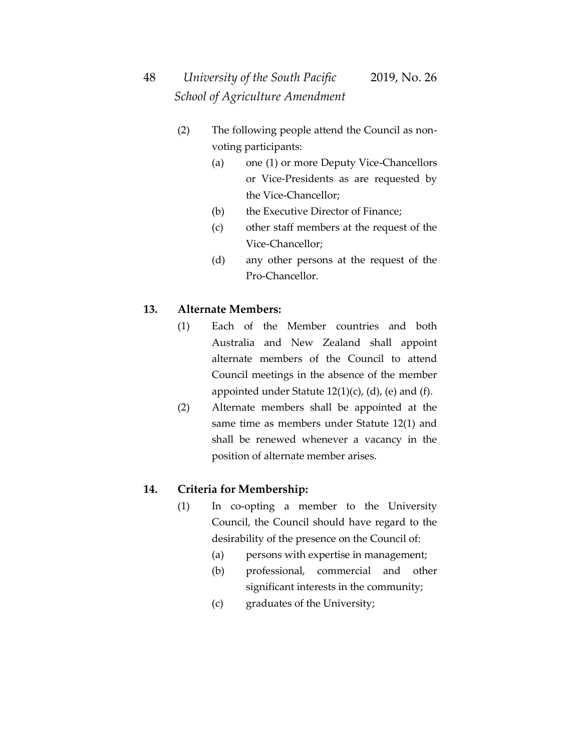- (2) The following people attend the Council as nonvoting participants:
	- (a) one (1) or more Deputy Vice-Chancellors or Vice-Presidents as are requested by the Vice-Chancellor;
	- (b) the Executive Director of Finance;
	- (c) other staff members at the request of the Vice-Chancellor;
	- (d) any other persons at the request of the Pro-Chancellor.

#### **13. Alternate Members:**

- (1) Each of the Member countries and both Australia and New Zealand shall appoint alternate members of the Council to attend Council meetings in the absence of the member appointed under Statute  $12(1)(c)$ , (d), (e) and (f).
- (2) Alternate members shall be appointed at the same time as members under Statute 12(1) and shall be renewed whenever a vacancy in the position of alternate member arises.

#### **14. Criteria for Membership:**

- (1) In co-opting a member to the University Council, the Council should have regard to the desirability of the presence on the Council of:
	- (a) persons with expertise in management;
	- (b) professional, commercial and other significant interests in the community;
	- (c) graduates of the University;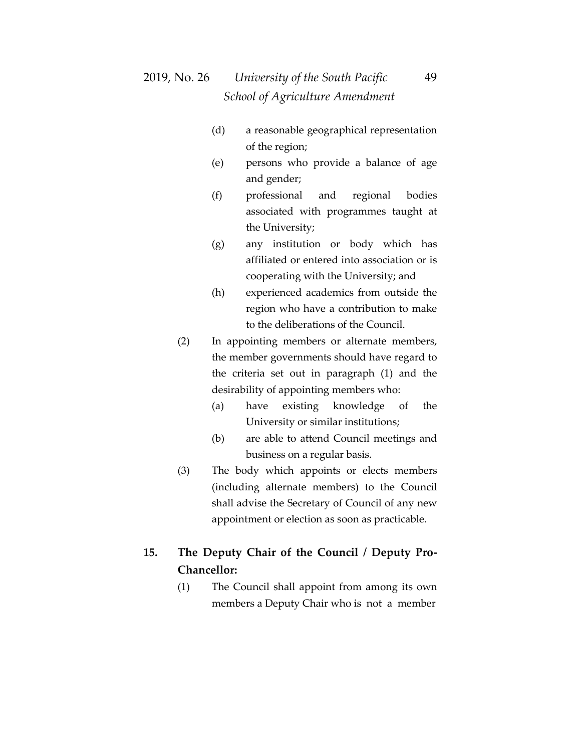- (d) a reasonable geographical representation of the region;
- (e) persons who provide a balance of age and gender;
- (f) professional and regional bodies associated with programmes taught at the University;
- (g) any institution or body which has affiliated or entered into association or is cooperating with the University; and
- (h) experienced academics from outside the region who have a contribution to make to the deliberations of the Council.
- (2) In appointing members or alternate members, the member governments should have regard to the criteria set out in paragraph (1) and the desirability of appointing members who:
	- (a) have existing knowledge of the University or similar institutions;
	- (b) are able to attend Council meetings and business on a regular basis.
- (3) The body which appoints or elects members (including alternate members) to the Council shall advise the Secretary of Council of any new appointment or election as soon as practicable.

### **15. The Deputy Chair of the Council / Deputy Pro-Chancellor:**

(1) The Council shall appoint from among its own members a Deputy Chair who is not a member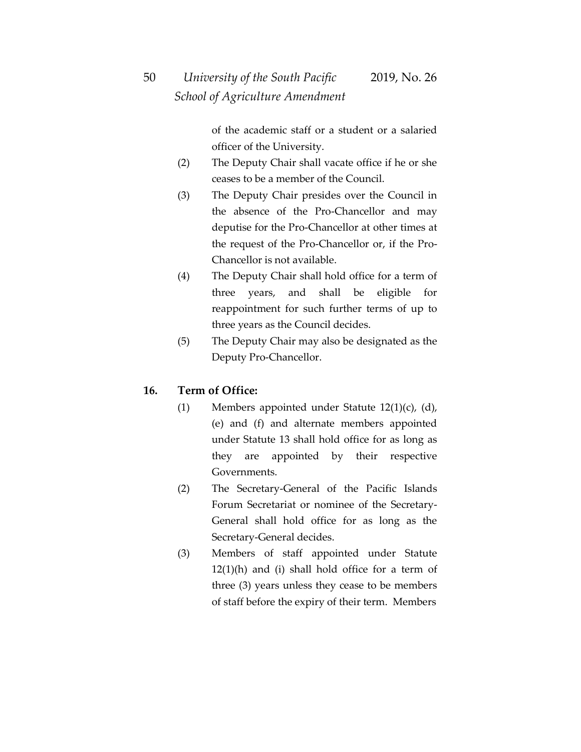of the academic staff or a student or a salaried officer of the University.

- (2) The Deputy Chair shall vacate office if he or she ceases to be a member of the Council.
- (3) The Deputy Chair presides over the Council in the absence of the Pro-Chancellor and may deputise for the Pro-Chancellor at other times at the request of the Pro-Chancellor or, if the Pro-Chancellor is not available.
- (4) The Deputy Chair shall hold office for a term of three years, and shall be eligible for reappointment for such further terms of up to three years as the Council decides.
- (5) The Deputy Chair may also be designated as the Deputy Pro-Chancellor.

### **16. Term of Office:**

- (1) Members appointed under Statute 12(1)(c), (d), (e) and (f) and alternate members appointed under Statute 13 shall hold office for as long as they are appointed by their respective Governments.
- (2) The Secretary-General of the Pacific Islands Forum Secretariat or nominee of the Secretary-General shall hold office for as long as the Secretary-General decides.
- (3) Members of staff appointed under Statute  $12(1)$ (h) and (i) shall hold office for a term of three (3) years unless they cease to be members of staff before the expiry of their term. Members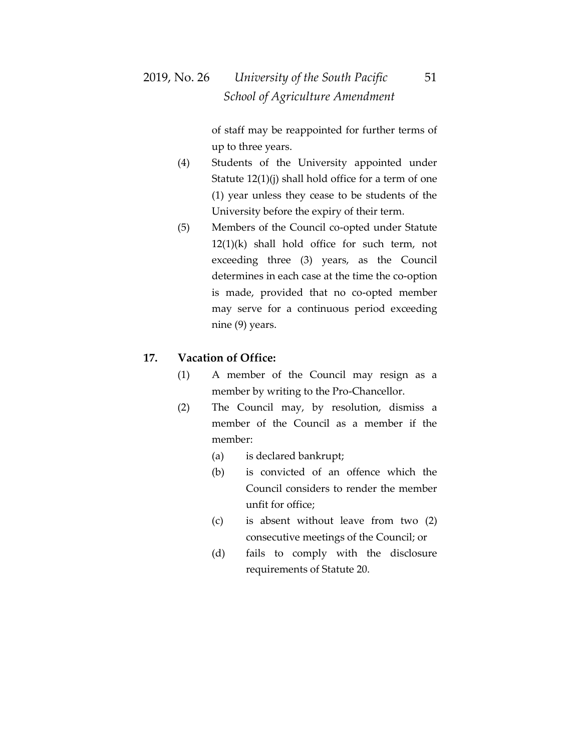of staff may be reappointed for further terms of up to three years.

- (4) Students of the University appointed under Statute 12(1)(j) shall hold office for a term of one (1) year unless they cease to be students of the University before the expiry of their term.
- (5) Members of the Council co-opted under Statute 12(1)(k) shall hold office for such term, not exceeding three (3) years, as the Council determines in each case at the time the co-option is made, provided that no co-opted member may serve for a continuous period exceeding nine (9) years.

#### **17. Vacation of Office:**

- (1) A member of the Council may resign as a member by writing to the Pro-Chancellor.
- (2) The Council may, by resolution, dismiss a member of the Council as a member if the member:
	- (a) is declared bankrupt;
	- (b) is convicted of an offence which the Council considers to render the member unfit for office;
	- (c) is absent without leave from two (2) consecutive meetings of the Council; or
	- (d) fails to comply with the disclosure requirements of Statute 20.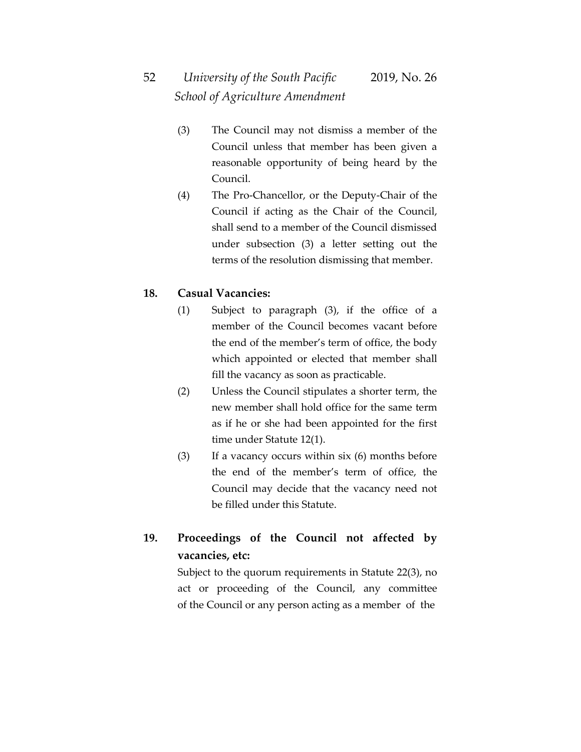- (3) The Council may not dismiss a member of the Council unless that member has been given a reasonable opportunity of being heard by the Council.
- (4) The Pro-Chancellor, or the Deputy-Chair of the Council if acting as the Chair of the Council, shall send to a member of the Council dismissed under subsection (3) a letter setting out the terms of the resolution dismissing that member.

#### **18. Casual Vacancies:**

- (1) Subject to paragraph (3), if the office of a member of the Council becomes vacant before the end of the member's term of office, the body which appointed or elected that member shall fill the vacancy as soon as practicable.
- (2) Unless the Council stipulates a shorter term, the new member shall hold office for the same term as if he or she had been appointed for the first time under Statute 12(1).
- (3) If a vacancy occurs within six (6) months before the end of the member's term of office, the Council may decide that the vacancy need not be filled under this Statute.

## **19. Proceedings of the Council not affected by vacancies, etc:**

Subject to the quorum requirements in Statute 22(3), no act or proceeding of the Council, any committee of the Council or any person acting as a member of the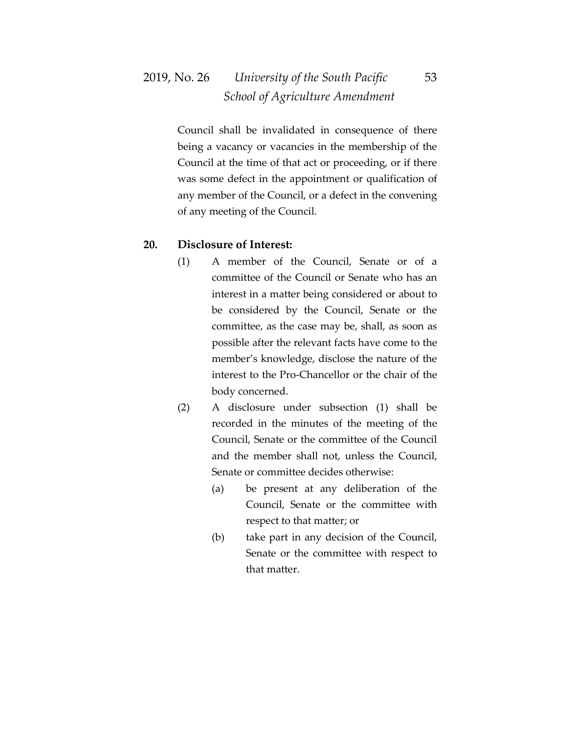## 2019, No. 26 *University of the South Pacific* 53  *School of Agriculture Amendment*

Council shall be invalidated in consequence of there being a vacancy or vacancies in the membership of the Council at the time of that act or proceeding, or if there was some defect in the appointment or qualification of any member of the Council, or a defect in the convening of any meeting of the Council.

#### **20. Disclosure of Interest:**

- (1) A member of the Council, Senate or of a committee of the Council or Senate who has an interest in a matter being considered or about to be considered by the Council, Senate or the committee, as the case may be, shall, as soon as possible after the relevant facts have come to the member's knowledge, disclose the nature of the interest to the Pro-Chancellor or the chair of the body concerned.
- (2) A disclosure under subsection (1) shall be recorded in the minutes of the meeting of the Council, Senate or the committee of the Council and the member shall not, unless the Council, Senate or committee decides otherwise:
	- (a) be present at any deliberation of the Council, Senate or the committee with respect to that matter; or
	- (b) take part in any decision of the Council, Senate or the committee with respect to that matter.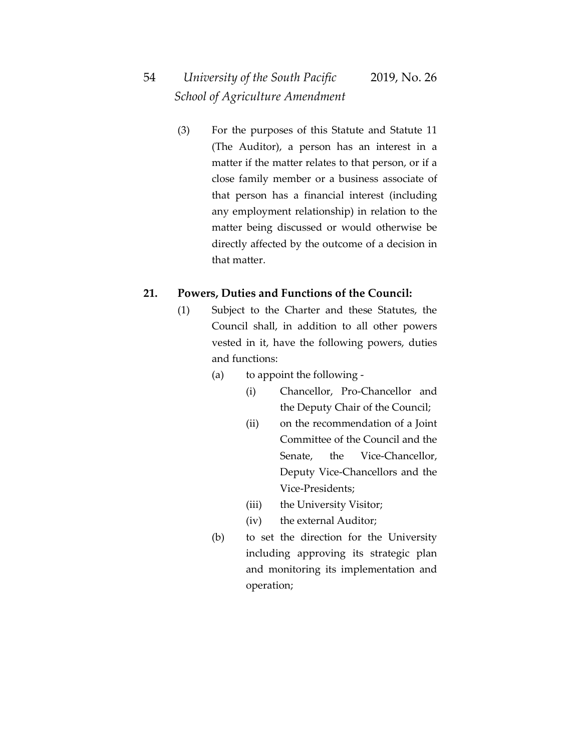(3) For the purposes of this Statute and Statute 11 (The Auditor), a person has an interest in a matter if the matter relates to that person, or if a close family member or a business associate of that person has a financial interest (including any employment relationship) in relation to the matter being discussed or would otherwise be directly affected by the outcome of a decision in that matter.

#### **21. Powers, Duties and Functions of the Council:**

- (1) Subject to the Charter and these Statutes, the Council shall, in addition to all other powers vested in it, have the following powers, duties and functions:
	- (a) to appoint the following
		- (i) Chancellor, Pro-Chancellor and the Deputy Chair of the Council;
		- (ii) on the recommendation of a Joint Committee of the Council and the Senate, the Vice-Chancellor, Deputy Vice-Chancellors and the Vice-Presidents;
		- (iii) the University Visitor;
		- (iv) the external Auditor;
	- (b) to set the direction for the University including approving its strategic plan and monitoring its implementation and operation;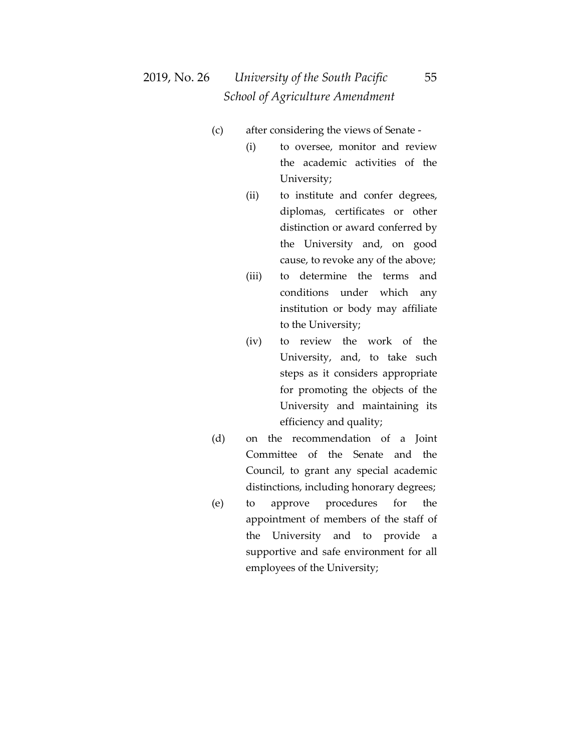## 2019, No. 26 *University of the South Pacific* 55  *School of Agriculture Amendment*

- (c) after considering the views of Senate
	- (i) to oversee, monitor and review the academic activities of the University;
	- (ii) to institute and confer degrees, diplomas, certificates or other distinction or award conferred by the University and, on good cause, to revoke any of the above;
	- (iii) to determine the terms and conditions under which any institution or body may affiliate to the University;
	- (iv) to review the work of the University, and, to take such steps as it considers appropriate for promoting the objects of the University and maintaining its efficiency and quality;
- (d) on the recommendation of a Joint Committee of the Senate and the Council, to grant any special academic distinctions, including honorary degrees;
- (e) to approve procedures for the appointment of members of the staff of the University and to provide a supportive and safe environment for all employees of the University;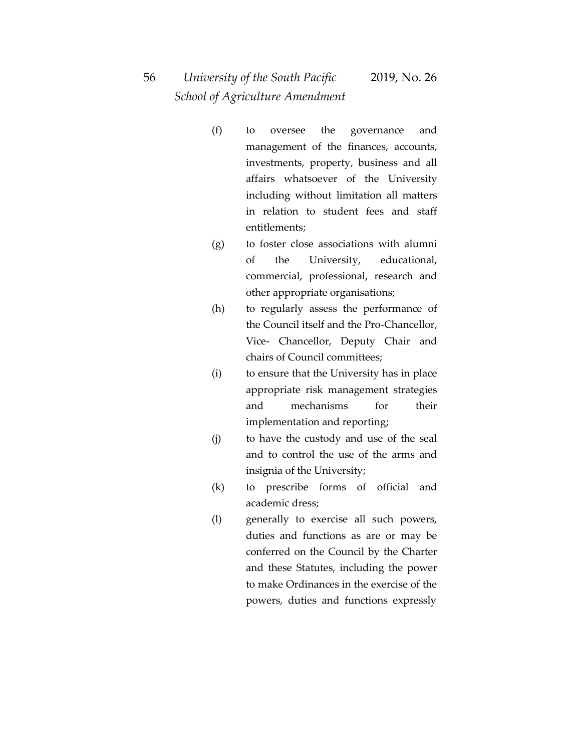- (f) to oversee the governance and management of the finances, accounts, investments, property, business and all affairs whatsoever of the University including without limitation all matters in relation to student fees and staff entitlements;
- (g) to foster close associations with alumni of the University, educational, commercial, professional, research and other appropriate organisations;
- (h) to regularly assess the performance of the Council itself and the Pro-Chancellor, Vice- Chancellor, Deputy Chair and chairs of Council committees;
- (i) to ensure that the University has in place appropriate risk management strategies and mechanisms for their implementation and reporting;
- (j) to have the custody and use of the seal and to control the use of the arms and insignia of the University;
- (k) to prescribe forms of official and academic dress;
- (l) generally to exercise all such powers, duties and functions as are or may be conferred on the Council by the Charter and these Statutes, including the power to make Ordinances in the exercise of the powers, duties and functions expressly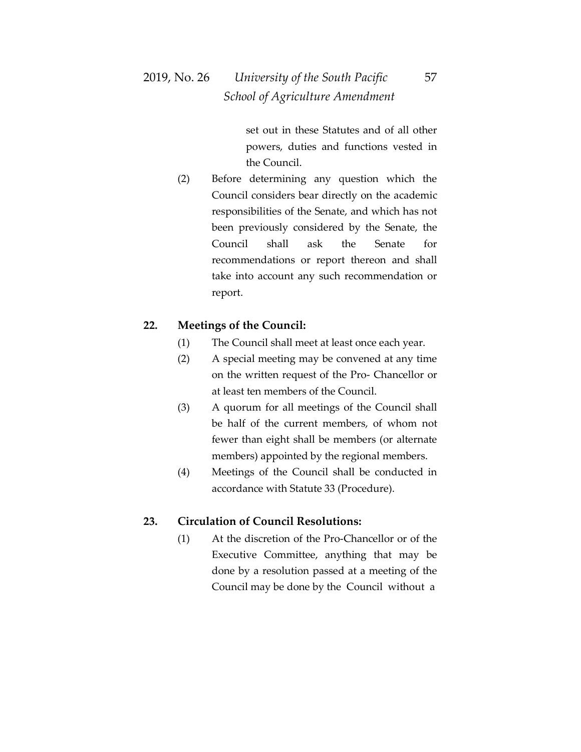set out in these Statutes and of all other powers, duties and functions vested in the Council.

(2) Before determining any question which the Council considers bear directly on the academic responsibilities of the Senate, and which has not been previously considered by the Senate, the Council shall ask the Senate for recommendations or report thereon and shall take into account any such recommendation or report.

#### **22. Meetings of the Council:**

- (1) The Council shall meet at least once each year.
- (2) A special meeting may be convened at any time on the written request of the Pro- Chancellor or at least ten members of the Council.
- (3) A quorum for all meetings of the Council shall be half of the current members, of whom not fewer than eight shall be members (or alternate members) appointed by the regional members.
- (4) Meetings of the Council shall be conducted in accordance with Statute 33 (Procedure).

#### **23. Circulation of Council Resolutions:**

(1) At the discretion of the Pro-Chancellor or of the Executive Committee, anything that may be done by a resolution passed at a meeting of the Council may be done by the Council without a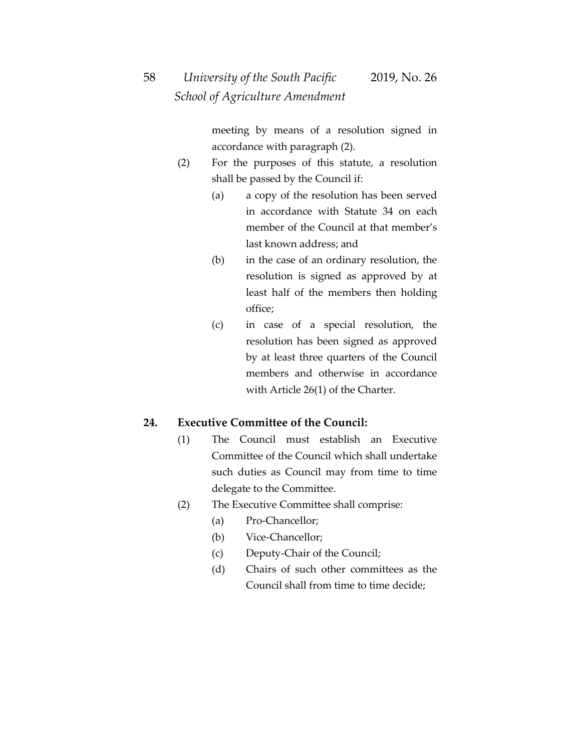meeting by means of a resolution signed in accordance with paragraph (2).

- (2) For the purposes of this statute, a resolution shall be passed by the Council if:
	- (a) a copy of the resolution has been served in accordance with Statute 34 on each member of the Council at that member's last known address; and
	- (b) in the case of an ordinary resolution, the resolution is signed as approved by at least half of the members then holding office;
	- (c) in case of a special resolution, the resolution has been signed as approved by at least three quarters of the Council members and otherwise in accordance with Article 26(1) of the Charter.

#### **24. Executive Committee of the Council:**

- (1) The Council must establish an Executive Committee of the Council which shall undertake such duties as Council may from time to time delegate to the Committee.
- (2) The Executive Committee shall comprise:
	- (a) Pro-Chancellor;
	- (b) Vice-Chancellor;
	- (c) Deputy-Chair of the Council;
	- (d) Chairs of such other committees as the Council shall from time to time decide;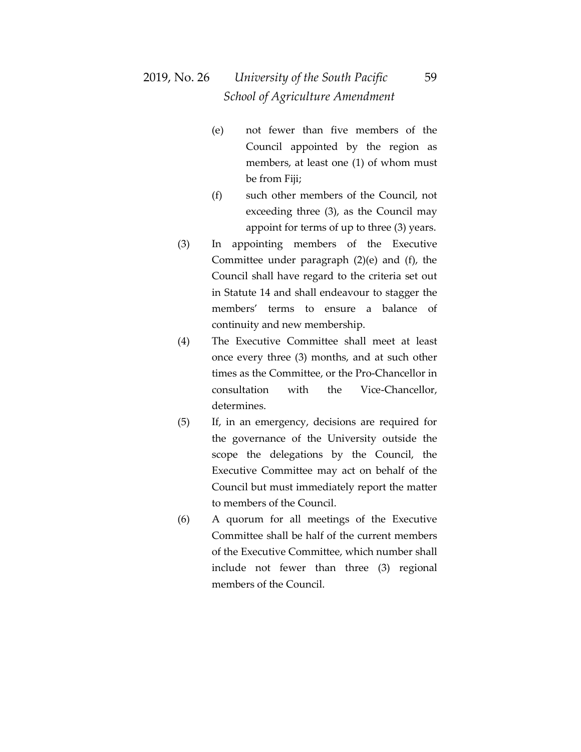- (e) not fewer than five members of the Council appointed by the region as members, at least one (1) of whom must be from Fiji;
- (f) such other members of the Council, not exceeding three (3), as the Council may appoint for terms of up to three (3) years.
- (3) In appointing members of the Executive Committee under paragraph (2)(e) and (f), the Council shall have regard to the criteria set out in Statute 14 and shall endeavour to stagger the members' terms to ensure a balance of continuity and new membership.
- (4) The Executive Committee shall meet at least once every three (3) months, and at such other times as the Committee, or the Pro-Chancellor in consultation with the Vice-Chancellor, determines.
- (5) If, in an emergency, decisions are required for the governance of the University outside the scope the delegations by the Council, the Executive Committee may act on behalf of the Council but must immediately report the matter to members of the Council.
- (6) A quorum for all meetings of the Executive Committee shall be half of the current members of the Executive Committee, which number shall include not fewer than three (3) regional members of the Council.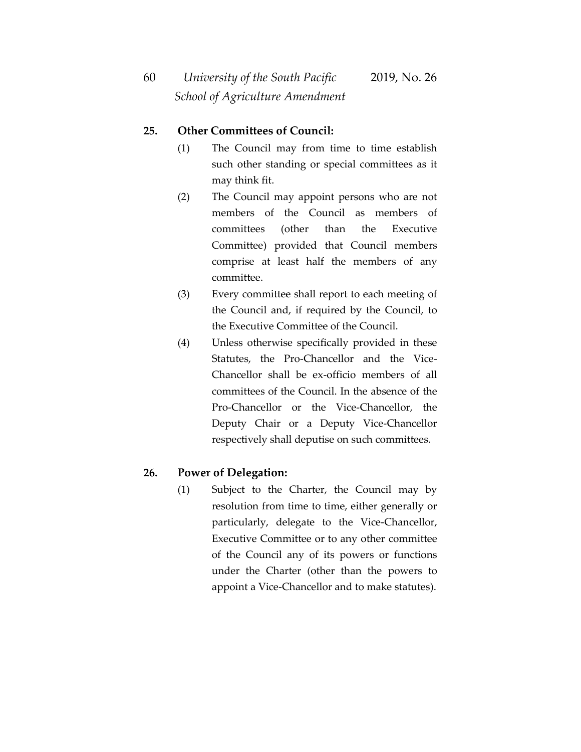#### **25. Other Committees of Council:**

- (1) The Council may from time to time establish such other standing or special committees as it may think fit.
- (2) The Council may appoint persons who are not members of the Council as members of committees (other than the Executive Committee) provided that Council members comprise at least half the members of any committee.
- (3) Every committee shall report to each meeting of the Council and, if required by the Council, to the Executive Committee of the Council.
- (4) Unless otherwise specifically provided in these Statutes, the Pro-Chancellor and the Vice-Chancellor shall be ex-officio members of all committees of the Council. In the absence of the Pro-Chancellor or the Vice-Chancellor, the Deputy Chair or a Deputy Vice-Chancellor respectively shall deputise on such committees.

#### **26. Power of Delegation:**

(1) Subject to the Charter, the Council may by resolution from time to time, either generally or particularly, delegate to the Vice-Chancellor, Executive Committee or to any other committee of the Council any of its powers or functions under the Charter (other than the powers to appoint a Vice-Chancellor and to make statutes).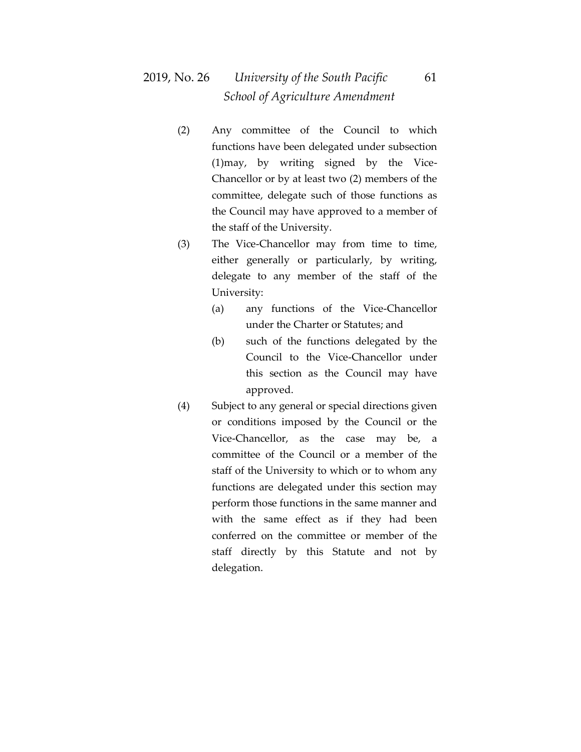## 2019, No. 26 *University of the South Pacific* 61  *School of Agriculture Amendment*

- (2) Any committee of the Council to which functions have been delegated under subsection (1)may, by writing signed by the Vice-Chancellor or by at least two (2) members of the committee, delegate such of those functions as the Council may have approved to a member of the staff of the University.
- (3) The Vice-Chancellor may from time to time, either generally or particularly, by writing, delegate to any member of the staff of the University:
	- (a) any functions of the Vice-Chancellor under the Charter or Statutes; and
	- (b) such of the functions delegated by the Council to the Vice-Chancellor under this section as the Council may have approved.
- (4) Subject to any general or special directions given or conditions imposed by the Council or the Vice-Chancellor, as the case may be, a committee of the Council or a member of the staff of the University to which or to whom any functions are delegated under this section may perform those functions in the same manner and with the same effect as if they had been conferred on the committee or member of the staff directly by this Statute and not by delegation.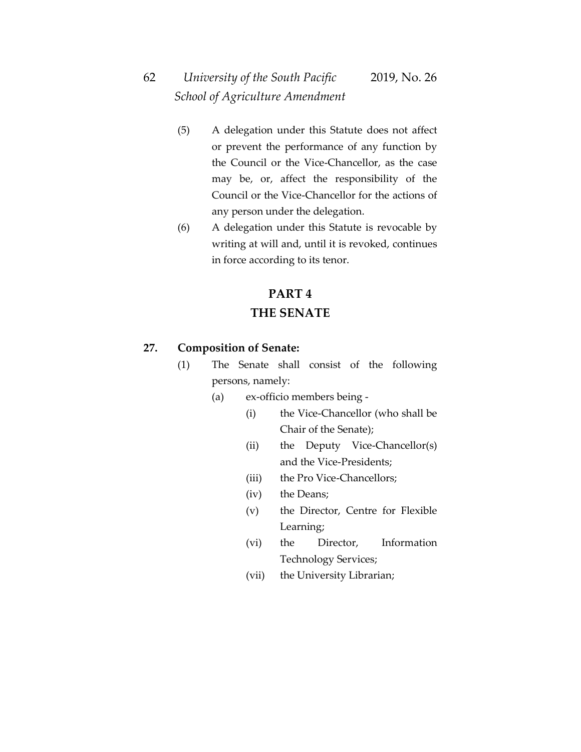# 62 *University of the South Pacific* 2019, No. 26  *School of Agriculture Amendment*

- (5) A delegation under this Statute does not affect or prevent the performance of any function by the Council or the Vice-Chancellor, as the case may be, or, affect the responsibility of the Council or the Vice-Chancellor for the actions of any person under the delegation.
- (6) A delegation under this Statute is revocable by writing at will and, until it is revoked, continues in force according to its tenor.

# **PART 4 THE SENATE**

#### **27. Composition of Senate:**

- (1) The Senate shall consist of the following persons, namely:
	- (a) ex-officio members being
		- (i) the Vice-Chancellor (who shall be Chair of the Senate);
		- (ii) the Deputy Vice-Chancellor(s) and the Vice-Presidents;
		- (iii) the Pro Vice-Chancellors;
		- (iv) the Deans;
		- (v) the Director, Centre for Flexible Learning;
		- (vi) the Director, Information Technology Services;
		- (vii) the University Librarian;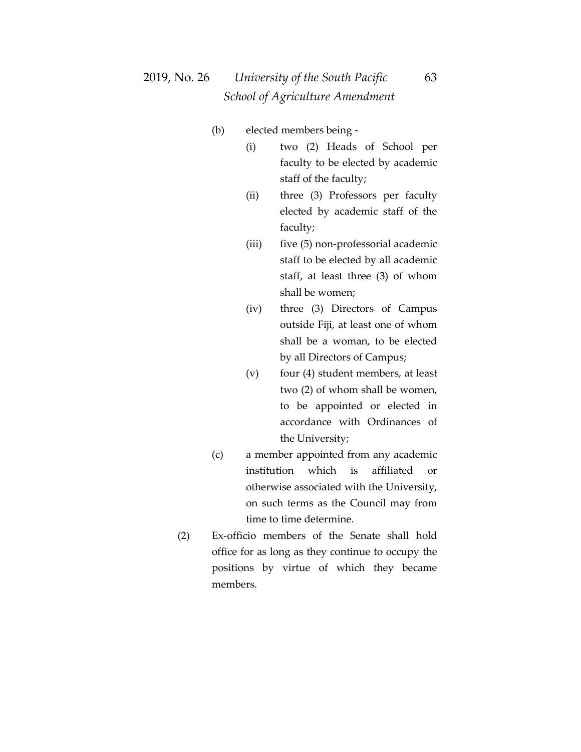## 2019, No. 26 *University of the South Pacific* 63  *School of Agriculture Amendment*

- (b) elected members being
	- (i) two (2) Heads of School per faculty to be elected by academic staff of the faculty;
	- (ii) three (3) Professors per faculty elected by academic staff of the faculty;
	- (iii) five (5) non-professorial academic staff to be elected by all academic staff, at least three (3) of whom shall be women;
	- (iv) three (3) Directors of Campus outside Fiji, at least one of whom shall be a woman, to be elected by all Directors of Campus;
	- (v) four (4) student members, at least two (2) of whom shall be women, to be appointed or elected in accordance with Ordinances of the University;
- (c) a member appointed from any academic institution which is affiliated or otherwise associated with the University, on such terms as the Council may from time to time determine.
- (2) Ex-officio members of the Senate shall hold office for as long as they continue to occupy the positions by virtue of which they became members.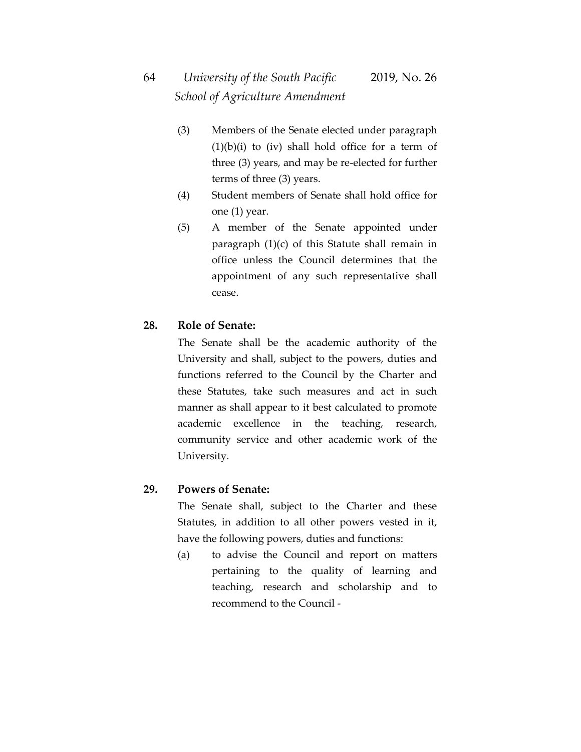- (3) Members of the Senate elected under paragraph  $(1)(b)(i)$  to  $(iv)$  shall hold office for a term of three (3) years, and may be re-elected for further terms of three (3) years.
- (4) Student members of Senate shall hold office for one (1) year.
- (5) A member of the Senate appointed under paragraph (1)(c) of this Statute shall remain in office unless the Council determines that the appointment of any such representative shall cease.

#### **28. Role of Senate:**

The Senate shall be the academic authority of the University and shall, subject to the powers, duties and functions referred to the Council by the Charter and these Statutes, take such measures and act in such manner as shall appear to it best calculated to promote academic excellence in the teaching, research, community service and other academic work of the University.

#### **29. Powers of Senate:**

The Senate shall, subject to the Charter and these Statutes, in addition to all other powers vested in it, have the following powers, duties and functions:

(a) to advise the Council and report on matters pertaining to the quality of learning and teaching, research and scholarship and to recommend to the Council -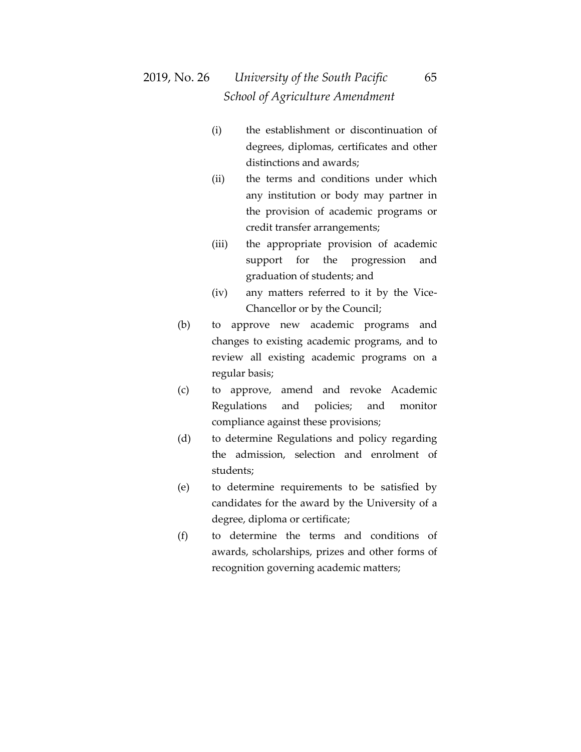- (i) the establishment or discontinuation of degrees, diplomas, certificates and other distinctions and awards;
- (ii) the terms and conditions under which any institution or body may partner in the provision of academic programs or credit transfer arrangements;
- (iii) the appropriate provision of academic support for the progression and graduation of students; and
- (iv) any matters referred to it by the Vice-Chancellor or by the Council;
- (b) to approve new academic programs and changes to existing academic programs, and to review all existing academic programs on a regular basis;
- (c) to approve, amend and revoke Academic Regulations and policies; and monitor compliance against these provisions;
- (d) to determine Regulations and policy regarding the admission, selection and enrolment of students;
- (e) to determine requirements to be satisfied by candidates for the award by the University of a degree, diploma or certificate;
- (f) to determine the terms and conditions of awards, scholarships, prizes and other forms of recognition governing academic matters;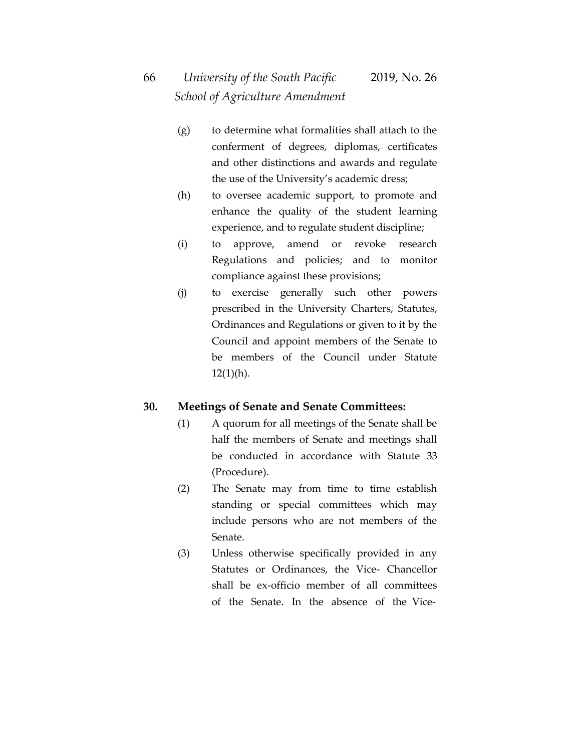- (g) to determine what formalities shall attach to the conferment of degrees, diplomas, certificates and other distinctions and awards and regulate the use of the University's academic dress;
- (h) to oversee academic support, to promote and enhance the quality of the student learning experience, and to regulate student discipline;
- (i) to approve, amend or revoke research Regulations and policies; and to monitor compliance against these provisions;
- (j) to exercise generally such other powers prescribed in the University Charters, Statutes, Ordinances and Regulations or given to it by the Council and appoint members of the Senate to be members of the Council under Statute  $12(1)(h)$ .

### **30. Meetings of Senate and Senate Committees:**

- (1) A quorum for all meetings of the Senate shall be half the members of Senate and meetings shall be conducted in accordance with Statute 33 (Procedure).
- (2) The Senate may from time to time establish standing or special committees which may include persons who are not members of the Senate.
- (3) Unless otherwise specifically provided in any Statutes or Ordinances, the Vice- Chancellor shall be ex-officio member of all committees of the Senate. In the absence of the Vice-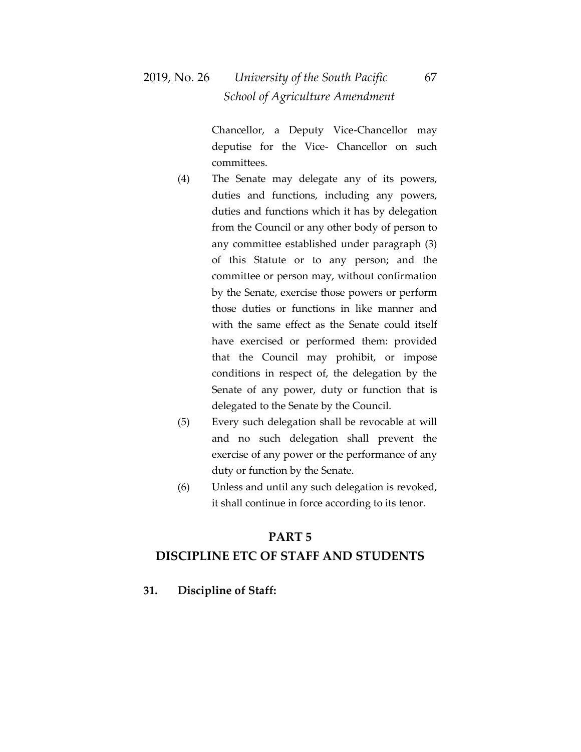Chancellor, a Deputy Vice-Chancellor may deputise for the Vice- Chancellor on such committees.

- (4) The Senate may delegate any of its powers, duties and functions, including any powers, duties and functions which it has by delegation from the Council or any other body of person to any committee established under paragraph (3) of this Statute or to any person; and the committee or person may, without confirmation by the Senate, exercise those powers or perform those duties or functions in like manner and with the same effect as the Senate could itself have exercised or performed them: provided that the Council may prohibit, or impose conditions in respect of, the delegation by the Senate of any power, duty or function that is delegated to the Senate by the Council.
- (5) Every such delegation shall be revocable at will and no such delegation shall prevent the exercise of any power or the performance of any duty or function by the Senate.
- (6) Unless and until any such delegation is revoked, it shall continue in force according to its tenor.

#### **PART 5**

#### **DISCIPLINE ETC OF STAFF AND STUDENTS**

**31. Discipline of Staff:**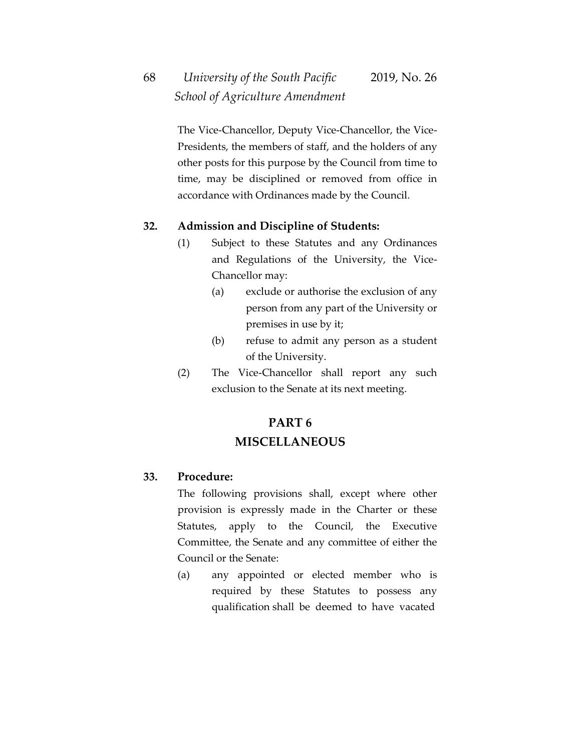# 68 *University of the South Pacific* 2019, No. 26  *School of Agriculture Amendment*

The Vice-Chancellor, Deputy Vice-Chancellor, the Vice-Presidents, the members of staff, and the holders of any other posts for this purpose by the Council from time to time, may be disciplined or removed from office in accordance with Ordinances made by the Council.

#### **32. Admission and Discipline of Students:**

- (1) Subject to these Statutes and any Ordinances and Regulations of the University, the Vice-Chancellor may:
	- (a) exclude or authorise the exclusion of any person from any part of the University or premises in use by it;
	- (b) refuse to admit any person as a student of the University.
- (2) The Vice-Chancellor shall report any such exclusion to the Senate at its next meeting.

### **PART 6 MISCELLANEOUS**

#### **33. Procedure:**

The following provisions shall, except where other provision is expressly made in the Charter or these Statutes, apply to the Council, the Executive Committee, the Senate and any committee of either the Council or the Senate:

(a) any appointed or elected member who is required by these Statutes to possess any qualification shall be deemed to have vacated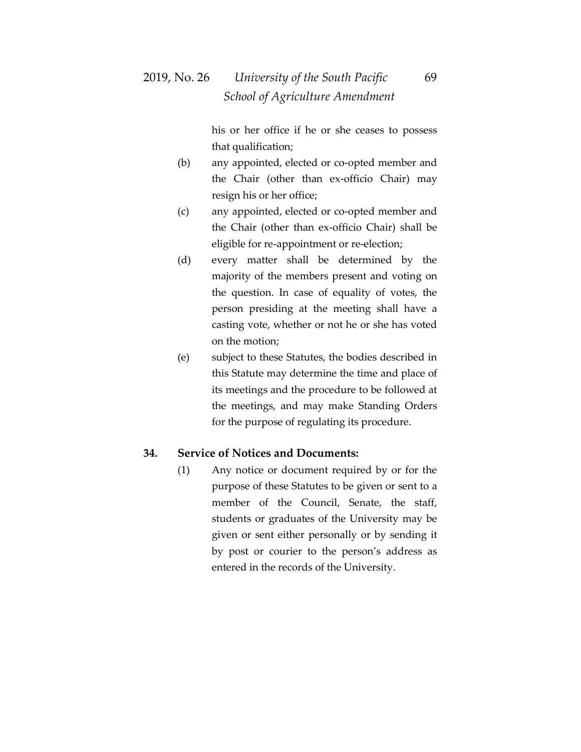his or her office if he or she ceases to possess that qualification;

- (b) any appointed, elected or co-opted member and the Chair (other than ex-officio Chair) may resign his or her office;
- (c) any appointed, elected or co-opted member and the Chair (other than ex-officio Chair) shall be eligible for re-appointment or re-election;
- (d) every matter shall be determined by the majority of the members present and voting on the question. In case of equality of votes, the person presiding at the meeting shall have a casting vote, whether or not he or she has voted on the motion;
- (e) subject to these Statutes, the bodies described in this Statute may determine the time and place of its meetings and the procedure to be followed at the meetings, and may make Standing Orders for the purpose of regulating its procedure.

#### **34. Service of Notices and Documents:**

(1) Any notice or document required by or for the purpose of these Statutes to be given or sent to a member of the Council, Senate, the staff, students or graduates of the University may be given or sent either personally or by sending it by post or courier to the person's address as entered in the records of the University.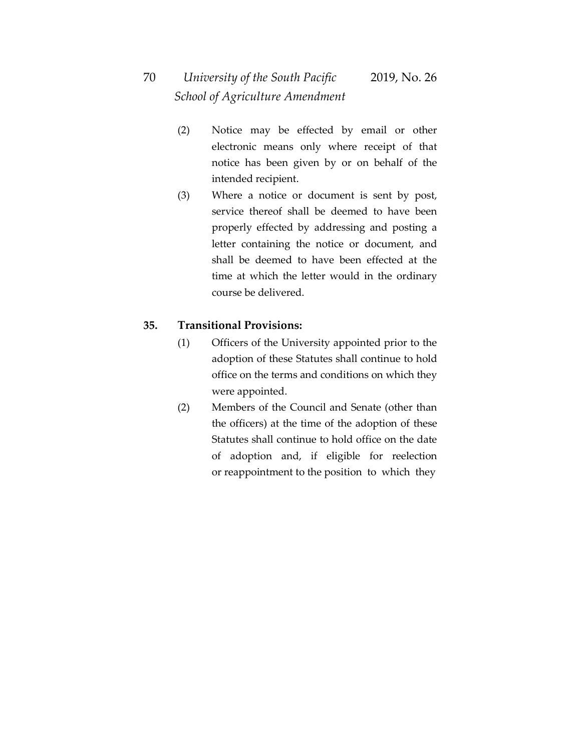# 70 *University of the South Pacific* 2019, No. 26  *School of Agriculture Amendment*

- (2) Notice may be effected by email or other electronic means only where receipt of that notice has been given by or on behalf of the intended recipient.
- (3) Where a notice or document is sent by post, service thereof shall be deemed to have been properly effected by addressing and posting a letter containing the notice or document, and shall be deemed to have been effected at the time at which the letter would in the ordinary course be delivered.

#### **35. Transitional Provisions:**

- (1) Officers of the University appointed prior to the adoption of these Statutes shall continue to hold office on the terms and conditions on which they were appointed.
- (2) Members of the Council and Senate (other than the officers) at the time of the adoption of these Statutes shall continue to hold office on the date of adoption and, if eligible for reelection or reappointment to the position to which they